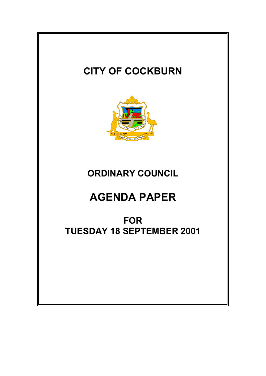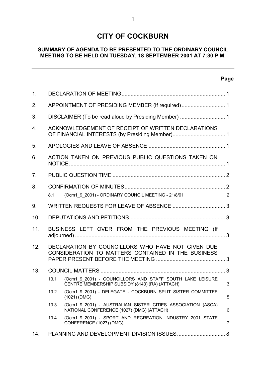# **CITY OF COCKBURN**

## **SUMMARY OF AGENDA TO BE PRESENTED TO THE ORDINARY COUNCIL MEETING TO BE HELD ON TUESDAY, 18 SEPTEMBER 2001 AT 7:30 P.M.**

## **Page**

 $\overline{a}$ 

| 1.             |                                                                                                         |                                                                                                            |                |
|----------------|---------------------------------------------------------------------------------------------------------|------------------------------------------------------------------------------------------------------------|----------------|
| 2.             |                                                                                                         |                                                                                                            |                |
| 3.             |                                                                                                         |                                                                                                            |                |
| 4.             |                                                                                                         | ACKNOWLEDGEMENT OF RECEIPT OF WRITTEN DECLARATIONS                                                         |                |
| 5.             |                                                                                                         |                                                                                                            |                |
| 6.             | ACTION TAKEN ON PREVIOUS PUBLIC QUESTIONS TAKEN ON                                                      |                                                                                                            |                |
| 7 <sub>1</sub> |                                                                                                         |                                                                                                            |                |
| 8.             | 8.1                                                                                                     | (Ocm1_9_2001) - ORDINARY COUNCIL MEETING - 21/8/01                                                         | $\overline{2}$ |
| 9.             |                                                                                                         |                                                                                                            |                |
| 10.            |                                                                                                         |                                                                                                            |                |
| 11.            | BUSINESS LEFT OVER FROM THE PREVIOUS MEETING (If                                                        |                                                                                                            |                |
| 12.            | DECLARATION BY COUNCILLORS WHO HAVE NOT GIVEN DUE<br>CONSIDERATION TO MATTERS CONTAINED IN THE BUSINESS |                                                                                                            |                |
| 13.            |                                                                                                         |                                                                                                            |                |
|                | 13.1                                                                                                    | (Ocm1 9 2001) - COUNCILLORS AND STAFF SOUTH LAKE LEISURE<br>CENTRE MEMBERSHIP SUBSIDY (8143) (RA) (ATTACH) | 3              |
|                | 13.2                                                                                                    | (Ocm1 9 2001) - DELEGATE - COCKBURN SPLIT SISTER COMMITTEE<br>$(1021)$ (DMG)                               | 5              |
|                | 13.3                                                                                                    | (Ocm1 9 2001) - AUSTRALIAN SISTER CITIES ASSOCIATION (ASCA)<br>NATIONAL CONFERENCE (1027) (DMG) (ATTACH)   | 6              |
|                | 13.4                                                                                                    | (Ocm1 9 2001) - SPORT AND RECREATION INDUSTRY 2001 STATE<br>CONFERENCE (1027) (DMG)                        | 7              |
| 14.            |                                                                                                         |                                                                                                            |                |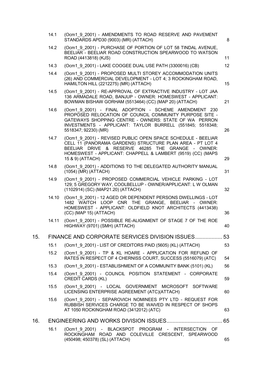|     | 14.1  | (Ocm1 9 2001) - AMENDMENTS TO ROAD RESERVE AND PAVEMENT<br>STANDARDS APD30 (9003) (MR) (ATTACH)                                                                                                                                                                   | 8  |
|-----|-------|-------------------------------------------------------------------------------------------------------------------------------------------------------------------------------------------------------------------------------------------------------------------|----|
|     | 14.2  | (Ocm1 9 2001) - PURCHASE OF PORTION OF LOT 58 TINDAL AVENUE,<br>BEELIAR - BEELIAR ROAD CONSTRUCTION SPEARWOOD TO WATSON<br>ROAD (4413818) (KJS)                                                                                                                   | 11 |
|     | 14.3  | (Ocm1 9 2001) - LAKE COOGEE DUAL USE PATH (3300016) (CB)                                                                                                                                                                                                          | 12 |
|     | 14.4  | (Ocm1 9 2001) - PROPOSED MULTI STOREY ACCOMMODATION UNITS<br>(26) AND COMMERCIAL DEVELOPMENT - LOT 4; 3 ROCKINGHAM ROAD,<br>HAMILTON HILL (2212275) (MR) (ATTACH)                                                                                                 | 15 |
|     | 14.5  | (Ocm1 9 2001) - RE-APPROVAL OF EXTRACTIVE INDUSTRY - LOT JAA<br>136 ARMADALE ROAD, BANJUP - OWNER: HOMESWEST - APPLICANT:<br>BOWMAN BISHAW GORHAM (5513464) (CC) (MAP 20) (ATTACH)                                                                                | 21 |
|     | 14.6  | (Ocm1 9 2001) - FINAL ADOPTION - SCHEME AMENDMENT 230<br>PROPOSED RELOCATION OF COUNCIL COMMUNITY PURPOSE SITE -<br>GATEWAYS SHOPPING CENTRE - OWNERS: STATE OF WA PERRON<br>INVESTMENTS - APPLICANT: TAYLOR BURRELL (551845; 5518348;<br>5518347; 92230) (MR)    | 26 |
|     | 14.7  | (Ocm1 9 2001) - REVISED PUBLIC OPEN SPACE SCHEDULE - BEELIAR<br>CELL 11 (PANORAMA GARDENS) STRUCTURE PLAN AREA - PT LOT 4<br>BEELIAR DRIVE & RESERVE 46285 THE GRANGE - OWNER:<br>HOMESWEST - APPLICANT: CHAPPELL & LAMBERT (9519) (CC) (MAPS<br>15 & 9) (ATTACH) | 29 |
|     | 14.8  | (Ocm1 9 2001) - ADDITIONS TO THE DELEGATED AUTHORITY MANUAL<br>(1054) (MR) (ATTACH)                                                                                                                                                                               | 31 |
|     | 14.9  | (Ocm1 9 2001) - PROPOSED COMMERCIAL VEHICLE PARKING - LOT<br>129; 5 GREGORY WAY, COOLBELLUP - OWNER/APPLICANT: L W OLMAN<br>(1102914) (SC) (MAP21.20) (ATTACH)                                                                                                    | 32 |
|     | 14.10 | (Ocm1 9 2001) - 12 AGED OR DEPENDENT PERSONS DWELLINGS - LOT<br>1482 WAITCH LOOP CNR THE GRANGE, BEELIAR - OWNER:<br>HOMESWEST - APPLICANT: OLDFIELD KNOT ARCHITECTS (4413438)<br>(CC) (MAP 15) (ATTACH)                                                          | 36 |
|     | 14.11 | (Ocm1_9_2001) - POSSIBLE RE-ALIGNMENT OF STAGE 7 OF THE ROE<br>HIGHWAY (9701) (SMH) (ATTACH)                                                                                                                                                                      | 40 |
| 15. |       | FINANCE AND CORPORATE SERVICES DIVISION ISSUES 53                                                                                                                                                                                                                 |    |
|     | 15.1  | (Ocm1 9 2001) - LIST OF CREDITORS PAID (5605) (KL) (ATTACH)                                                                                                                                                                                                       | 53 |
|     | 15.2  | (Ocm1 9 2001) - TP & KL HOARE - APPLICATION FOR REFUND OF<br>RATES IN RESPECT OF 4 CHERNISS COURT, SUCCESS (5516079) (ATC)                                                                                                                                        | 54 |
|     | 15.3  | (Ocm1 9 2001) - ESTABLISHMENT OF A COMMUNITY BANK (5101) (KL)                                                                                                                                                                                                     | 56 |
|     | 15.4  | (Ocm1 9 2001) - COUNCIL POSITION STATEMENT - CORPORATE<br><b>CREDIT CARDS (KL)</b>                                                                                                                                                                                | 59 |
|     | 15.5  | (Ocm1 9 2001) - LOCAL GOVERNMENT MICROSOFT SOFTWARE<br>LICENSING ENTERPRISE AGREEMENT (ATC)(ATTACH)                                                                                                                                                               | 60 |
|     | 15.6  | (Ocm1 9 2001) - SEPAROVICH NOMINEES PTY LTD - REQUEST FOR<br>RUBBISH SERVICES CHARGE TO BE WAIVED IN RESPECT OF SHOPS<br>AT 1050 ROCKINGHAM ROAD (3412012) (ATC)                                                                                                  | 63 |
| 16. |       |                                                                                                                                                                                                                                                                   |    |
|     | 16.1  | (Ocm1 9 2001) - BLACKSPOT PROGRAM - INTERSECTION OF<br>ROCKINGHAM ROAD AND COLEVILLE CRESCENT, SPEARWOOD<br>(450498; 450378) (SL) (ATTACH)                                                                                                                        | 65 |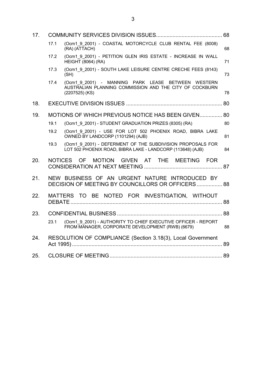| 17. |                |                                                                                                                                   |    |
|-----|----------------|-----------------------------------------------------------------------------------------------------------------------------------|----|
|     | 17.1           | (Ocm1 9 2001) - COASTAL MOTORCYCLE CLUB RENTAL FEE (8008)<br>(RA) (ATTACH)                                                        | 68 |
|     | 17.2           | (Ocm1 9 2001) - PETITION GLEN IRIS ESTATE - INCREASE IN WALL<br><b>HEIGHT (8064) (RA)</b>                                         | 71 |
|     | 17.3           | (Ocm1 9 2001) - SOUTH LAKE LEISURE CENTRE CRECHE FEES (8143)<br>(SH)                                                              | 73 |
|     | 17.4           | (Ocm1 9 2001) - MANNING PARK LEASE BETWEEN WESTERN<br>AUSTRALIAN PLANNING COMMISSION AND THE CITY OF COCKBURN<br>$(2207525)$ (KS) | 78 |
| 18. |                |                                                                                                                                   |    |
| 19. |                | MOTIONS OF WHICH PREVIOUS NOTICE HAS BEEN GIVEN 80                                                                                |    |
|     | 19.1           | (Ocm1 9 2001) - STUDENT GRADUATION PRIZES (8305) (RA)                                                                             | 80 |
|     | 19.2           | (Ocm1 9 2001) - USE FOR LOT 502 PHOENIX ROAD, BIBRA LAKE<br>OWNED BY LANDCORP (1101294) (AJB)                                     | 81 |
|     | 19.3           | (Ocm1 9 2001) - DEFERMENT OF THE SUBDIVISION PROPOSALS FOR<br>LOT 502 PHOENIX ROAD, BIBRA LAKE - LANDCORP (113648) (AJB)          | 84 |
| 20. | <b>NOTICES</b> | GIVEN AT THE MEETING FOR<br>OF.<br><b>MOTION</b>                                                                                  |    |
| 21. |                | NEW BUSINESS OF AN URGENT NATURE INTRODUCED BY<br>DECISION OF MEETING BY COUNCILLORS OR OFFICERS 88                               |    |
| 22. |                | MATTERS TO BE NOTED FOR INVESTIGATION, WITHOUT                                                                                    |    |
| 23. |                |                                                                                                                                   |    |
|     | 23.1           | (Ocm1 9 2001) - AUTHORITY TO CHIEF EXECUTIVE OFFICER - REPORT<br>FROM MANAGER, CORPORATE DEVELOPMENT (RWB) (6679)                 | 88 |
| 24. |                | RESOLUTION OF COMPLIANCE (Section 3.18(3), Local Government                                                                       |    |
| 25. |                |                                                                                                                                   |    |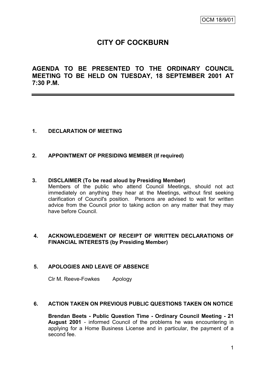# **CITY OF COCKBURN**

**AGENDA TO BE PRESENTED TO THE ORDINARY COUNCIL MEETING TO BE HELD ON TUESDAY, 18 SEPTEMBER 2001 AT 7:30 P.M.**

## **1. DECLARATION OF MEETING**

### **2. APPOINTMENT OF PRESIDING MEMBER (If required)**

#### **3. DISCLAIMER (To be read aloud by Presiding Member)**

Members of the public who attend Council Meetings, should not act immediately on anything they hear at the Meetings, without first seeking clarification of Council's position. Persons are advised to wait for written advice from the Council prior to taking action on any matter that they may have before Council.

### **4. ACKNOWLEDGEMENT OF RECEIPT OF WRITTEN DECLARATIONS OF FINANCIAL INTERESTS (by Presiding Member)**

## **5. APOLOGIES AND LEAVE OF ABSENCE**

Clr M. Reeve-Fowkes Apology

#### **6. ACTION TAKEN ON PREVIOUS PUBLIC QUESTIONS TAKEN ON NOTICE**

**Brendan Beets - Public Question Time - Ordinary Council Meeting - 21 August 2001** - informed Council of the problems he was encountering in applying for a Home Business License and in particular, the payment of a second fee.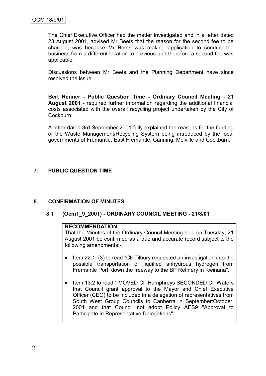The Chief Executive Officer had the matter investigated and in a letter dated 23 August 2001, advised Mr Beets that the reason for the second fee to be charged, was because Mr Beets was making application to conduct the business from a different location to previous and therefore a second fee was applicable.

Discussions between Mr Beets and the Planning Department have since resolved the issue.

**Bert Renner - Public Question Time - Ordinary Council Meeting - 21 August 2001** - required further information regarding the additional financial costs associated with the overall recycling project undertaken by the City of Cockburn.

A letter dated 3rd September 2001 fully explained the reasons for the funding of the Waste Management/Recycling System being introduced by the local governments of Fremantle, East Fremantle, Canning, Melville and Cockburn.

## **7. PUBLIC QUESTION TIME**

## **8. CONFIRMATION OF MINUTES**

### **8.1 (Ocm1\_9\_2001) - ORDINARY COUNCIL MEETING - 21/8/01**

#### **RECOMMENDATION**

That the Minutes of the Ordinary Council Meeting held on Tuesday, 21 August 2001 be confirmed as a true and accurate record subject to the following amendments:-

- Item 22.1 (3) to read "CIr Tilbury requested an investigation into the possible transportation of liquified anhydrous hydrogen from Fremantle Port, down the freeway to the BP Refinery in Kwinana".
- Item 13.2 to read " MOVED CIr Humphreys SECONDED CIr Waters that Council grant approval to the Mayor and Chief Executive Officer (CEO) to be included in a delegation of representatives from South West Group Councils to Canberra in September/October, 2001 and that Council not adopt Policy AES9 "Approval to Participate in Representative Delegations"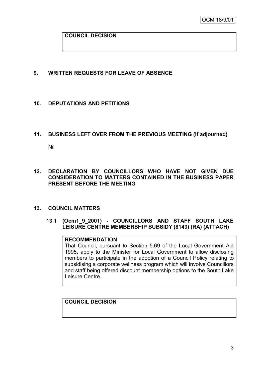### **COUNCIL DECISION**

### **9. WRITTEN REQUESTS FOR LEAVE OF ABSENCE**

### **10. DEPUTATIONS AND PETITIONS**

#### **11. BUSINESS LEFT OVER FROM THE PREVIOUS MEETING (If adjourned)**

Nil

### **12. DECLARATION BY COUNCILLORS WHO HAVE NOT GIVEN DUE CONSIDERATION TO MATTERS CONTAINED IN THE BUSINESS PAPER PRESENT BEFORE THE MEETING**

#### **13. COUNCIL MATTERS**

### **13.1 (Ocm1\_9\_2001) - COUNCILLORS AND STAFF SOUTH LAKE LEISURE CENTRE MEMBERSHIP SUBSIDY (8143) (RA) (ATTACH)**

#### **RECOMMENDATION**

That Council, pursuant to Section 5.69 of the Local Government Act 1995, apply to the Minister for Local Government to allow disclosing members to participate in the adoption of a Council Policy relating to subsidising a corporate wellness program which will involve Councillors and staff being offered discount membership options to the South Lake Leisure Centre.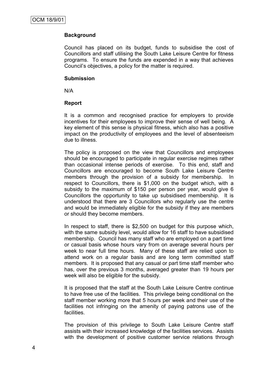Council has placed on its budget, funds to subsidise the cost of Councillors and staff utilising the South Lake Leisure Centre for fitness programs. To ensure the funds are expended in a way that achieves Council"s objectives, a policy for the matter is required.

#### **Submission**

N/A

### **Report**

It is a common and recognised practice for employers to provide incentives for their employees to improve their sense of well being. A key element of this sense is physical fitness, which also has a positive impact on the productivity of employees and the level of absenteeism due to illness.

The policy is proposed on the view that Councillors and employees should be encouraged to participate in regular exercise regimes rather than occasional intense periods of exercise. To this end, staff and Councillors are encouraged to become South Lake Leisure Centre members through the provision of a subsidy for membership. In respect to Councillors, there is \$1,000 on the budget which, with a subsidy to the maximum of \$150 per person per year, would give 6 Councillors the opportunity to take up subsidised membership. It is understood that there are 3 Councillors who regularly use the centre and would be immediately eligible for the subsidy if they are members or should they become members.

In respect to staff, there is \$2,500 on budget for this purpose which, with the same subsidy level, would allow for 16 staff to have subsidised membership. Council has many staff who are employed on a part time or casual basis whose hours vary from on average several hours per week to near full time hours. Many of these staff are relied upon to attend work on a regular basis and are long term committed staff members. It is proposed that any casual or part time staff member who has, over the previous 3 months, averaged greater than 19 hours per week will also be eligible for the subsidy.

It is proposed that the staff at the South Lake Leisure Centre continue to have free use of the facilities. This privilege being conditional on the staff member working more that 5 hours per week and their use of the facilities not infringing on the amenity of paying patrons use of the facilities.

The provision of this privilege to South Lake Leisure Centre staff assists with their increased knowledge of the facilities services. Assists with the development of positive customer service relations through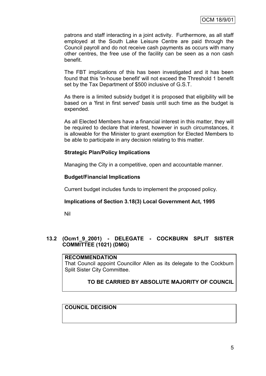patrons and staff interacting in a joint activity. Furthermore, as all staff employed at the South Lake Leisure Centre are paid through the Council payroll and do not receive cash payments as occurs with many other centres, the free use of the facility can be seen as a non cash benefit.

The FBT implications of this has been investigated and it has been found that this 'in-house benefit' will not exceed the Threshold 1 benefit set by the Tax Department of \$500 inclusive of G.S.T.

As there is a limited subsidy budget it is proposed that eligibility will be based on a 'first in first served' basis until such time as the budget is expended.

As all Elected Members have a financial interest in this matter, they will be required to declare that interest, however in such circumstances, it is allowable for the Minister to grant exemption for Elected Members to be able to participate in any decision relating to this matter.

### **Strategic Plan/Policy Implications**

Managing the City in a competitive, open and accountable manner.

### **Budget/Financial Implications**

Current budget includes funds to implement the proposed policy.

### **Implications of Section 3.18(3) Local Government Act, 1995**

Nil

## **13.2 (Ocm1\_9\_2001) - DELEGATE - COCKBURN SPLIT SISTER COMMITTEE (1021) (DMG)**

### **RECOMMENDATION**

That Council appoint Councillor Allen as its delegate to the Cockburn Split Sister City Committee.

## **TO BE CARRIED BY ABSOLUTE MAJORITY OF COUNCIL**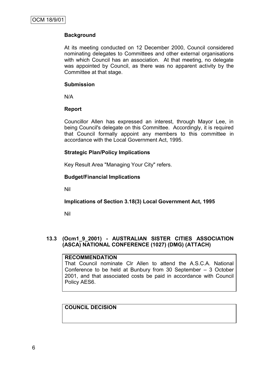At its meeting conducted on 12 December 2000, Council considered nominating delegates to Committees and other external organisations with which Council has an association. At that meeting, no delegate was appointed by Council, as there was no apparent activity by the Committee at that stage.

#### **Submission**

N/A

### **Report**

Councillor Allen has expressed an interest, through Mayor Lee, in being Council's delegate on this Committee. Accordingly, it is required that Council formally appoint any members to this committee in accordance with the Local Government Act, 1995.

### **Strategic Plan/Policy Implications**

Key Result Area "Managing Your City" refers.

## **Budget/Financial Implications**

Nil

## **Implications of Section 3.18(3) Local Government Act, 1995**

Nil

## **13.3 (Ocm1\_9\_2001) - AUSTRALIAN SISTER CITIES ASSOCIATION (ASCA) NATIONAL CONFERENCE (1027) (DMG) (ATTACH)**

#### **RECOMMENDATION**

That Council nominate Clr Allen to attend the A.S.C.A. National Conference to be held at Bunbury from 30 September – 3 October 2001, and that associated costs be paid in accordance with Council Policy AES6.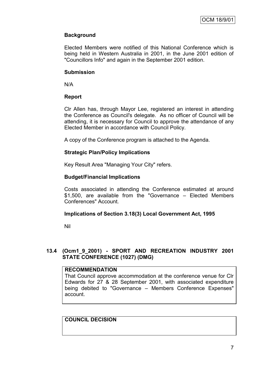Elected Members were notified of this National Conference which is being held in Western Australia in 2001, in the June 2001 edition of "Councillors Info" and again in the September 2001 edition.

#### **Submission**

N/A

## **Report**

Clr Allen has, through Mayor Lee, registered an interest in attending the Conference as Council's delegate. As no officer of Council will be attending, it is necessary for Council to approve the attendance of any Elected Member in accordance with Council Policy.

A copy of the Conference program is attached to the Agenda.

### **Strategic Plan/Policy Implications**

Key Result Area "Managing Your City" refers.

### **Budget/Financial Implications**

Costs associated in attending the Conference estimated at around \$1,500, are available from the "Governance – Elected Members Conferences" Account.

### **Implications of Section 3.18(3) Local Government Act, 1995**

Nil

## **13.4 (Ocm1\_9\_2001) - SPORT AND RECREATION INDUSTRY 2001 STATE CONFERENCE (1027) (DMG)**

### **RECOMMENDATION**

That Council approve accommodation at the conference venue for Clr Edwards for 27 & 28 September 2001, with associated expenditure being debited to "Governance – Members Conference Expenses" account.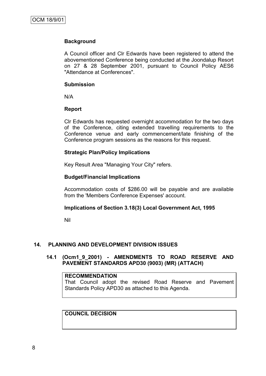A Council officer and Clr Edwards have been registered to attend the abovementioned Conference being conducted at the Joondalup Resort on 27 & 28 September 2001, pursuant to Council Policy AES6 "Attendance at Conferences".

#### **Submission**

N/A

### **Report**

Clr Edwards has requested overnight accommodation for the two days of the Conference, citing extended travelling requirements to the Conference venue and early commencement/late finishing of the Conference program sessions as the reasons for this request.

### **Strategic Plan/Policy Implications**

Key Result Area "Managing Your City" refers.

#### **Budget/Financial Implications**

Accommodation costs of \$286.00 will be payable and are available from the 'Members Conference Expenses' account.

### **Implications of Section 3.18(3) Local Government Act, 1995**

Nil

### **14. PLANNING AND DEVELOPMENT DIVISION ISSUES**

### **14.1 (Ocm1\_9\_2001) - AMENDMENTS TO ROAD RESERVE AND PAVEMENT STANDARDS APD30 (9003) (MR) (ATTACH)**

### **RECOMMENDATION**

That Council adopt the revised Road Reserve and Pavement Standards Policy APD30 as attached to this Agenda.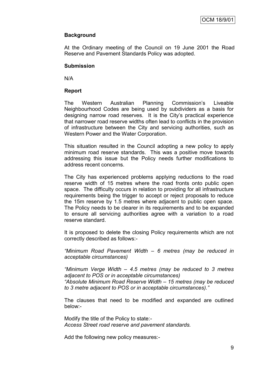At the Ordinary meeting of the Council on 19 June 2001 the Road Reserve and Pavement Standards Policy was adopted.

#### **Submission**

N/A

### **Report**

The Western Australian Planning Commission"s Liveable Neighbourhood Codes are being used by subdividers as a basis for designing narrow road reserves. It is the City"s practical experience that narrower road reserve widths often lead to conflicts in the provision of infrastructure between the City and servicing authorities, such as Western Power and the Water Corporation.

This situation resulted in the Council adopting a new policy to apply minimum road reserve standards. This was a positive move towards addressing this issue but the Policy needs further modifications to address recent concerns.

The City has experienced problems applying reductions to the road reserve width of 15 metres where the road fronts onto public open space. The difficulty occurs in relation to providing for all infrastructure requirements being the trigger to accept or reject proposals to reduce the 15m reserve by 1.5 metres where adjacent to public open space. The Policy needs to be clearer in its requirements and to be expanded to ensure all servicing authorities agree with a variation to a road reserve standard.

It is proposed to delete the closing Policy requirements which are not correctly described as follows:-

*"Minimum Road Pavement Width – 6 metres (may be reduced in acceptable circumstances)*

*"Minimum Verge Width – 4.5 metres (may be reduced to 3 metres adjacent to POS or in acceptable circumstances)*

*"Absolute Minimum Road Reserve Width – 15 metres (may be reduced to 3 metre adjacent to POS or in acceptable circumstances)."*

The clauses that need to be modified and expanded are outlined below:-

Modify the title of the Policy to state:- *Access Street road reserve and pavement standards.*

Add the following new policy measures:-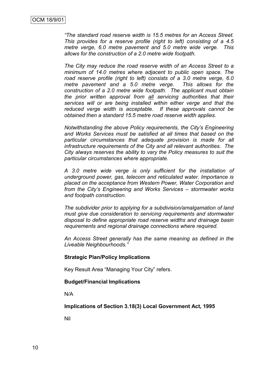*"The standard road reserve width is 15.5 metres for an Access Street. This provides for a reserve profile (right to left) consisting of a 4.5 metre verge, 6.0 metre pavement and 5.0 metre wide verge. This allows for the construction of a 2.0 metre wide footpath.*

*The City may reduce the road reserve width of an Access Street to a minimum of 14.0 metres where adjacent to public open space. The road reserve profile (right to left) consists of a 3.0 metre verge, 6.0 metre pavement and a 5.0 metre verge. This allows for the construction of a 2.0 metre wide footpath. The applicant must obtain the prior written approval from all servicing authorities that their services will or are being installed within either verge and that the reduced verge width is acceptable. If these approvals cannot be obtained then a standard 15.5 metre road reserve width applies.*

*Notwithstanding the above Policy requirements, the City's Engineering and Works Services must be satisfied at all times that based on the particular circumstances that adequate provision is made for all infrastructure requirements of the City and all relevant authorities. The City always reserves the ability to vary the Policy measures to suit the particular circumstances where appropriate.*

*A 3.0 metre wide verge is only sufficient for the installation of underground power, gas, telecom and reticulated water. Importance is placed on the acceptance from Western Power, Water Corporation and from the City's Engineering and Works Services – stormwater works and footpath construction.*

*The subdivider prior to applying for a subdivision/amalgamation of land must give due consideration to servicing requirements and stormwater disposal to define appropriate road reserve widths and drainage basin requirements and regional drainage connections where required.*

*An Access Street generally has the same meaning as defined in the Liveable Neighbourhoods."*

#### **Strategic Plan/Policy Implications**

Key Result Area "Managing Your City" refers.

#### **Budget/Financial Implications**

N/A

**Implications of Section 3.18(3) Local Government Act, 1995**

Nil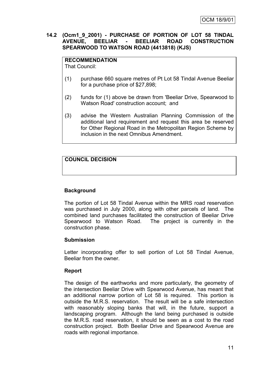### **14.2 (Ocm1\_9\_2001) - PURCHASE OF PORTION OF LOT 58 TINDAL AVENUE, BEELIAR - BEELIAR ROAD CONSTRUCTION SPEARWOOD TO WATSON ROAD (4413818) (KJS)**

**RECOMMENDATION** That Council:

- (1) purchase 660 square metres of Pt Lot 58 Tindal Avenue Beeliar for a purchase price of \$27,898;
- (2) funds for (1) above be drawn from 'Beeliar Drive, Spearwood to Watson Road' construction account; and
- (3) advise the Western Australian Planning Commission of the additional land requirement and request this area be reserved for Other Regional Road in the Metropolitan Region Scheme by inclusion in the next Omnibus Amendment.

## **COUNCIL DECISION**

## **Background**

The portion of Lot 58 Tindal Avenue within the MRS road reservation was purchased in July 2000, along with other parcels of land. The combined land purchases facilitated the construction of Beeliar Drive Spearwood to Watson Road. The project is currently in the construction phase.

### **Submission**

Letter incorporating offer to sell portion of Lot 58 Tindal Avenue, Beeliar from the owner.

### **Report**

The design of the earthworks and more particularly, the geometry of the intersection Beeliar Drive with Spearwood Avenue, has meant that an additional narrow portion of Lot 58 is required. This portion is outside the M.R.S. reservation. The result will be a safe intersection with reasonably sloping banks that will, in the future, support a landscaping program. Although the land being purchased is outside the M.R.S. road reservation, it should be seen as a cost to the road construction project. Both Beeliar Drive and Spearwood Avenue are roads with regional importance.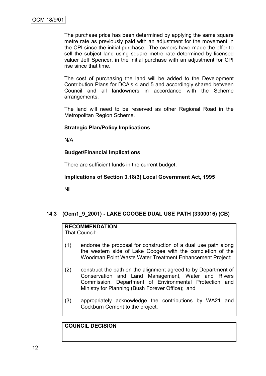The purchase price has been determined by applying the same square metre rate as previously paid with an adjustment for the movement in the CPI since the initial purchase. The owners have made the offer to sell the subject land using square metre rate determined by licensed valuer Jeff Spencer, in the initial purchase with an adjustment for CPI rise since that time.

The cost of purchasing the land will be added to the Development Contribution Plans for DCA's 4 and 5 and accordingly shared between Council and all landowners in accordance with the Scheme arrangements.

The land will need to be reserved as other Regional Road in the Metropolitan Region Scheme.

### **Strategic Plan/Policy Implications**

N/A

### **Budget/Financial Implications**

There are sufficient funds in the current budget.

#### **Implications of Section 3.18(3) Local Government Act, 1995**

Nil

## **14.3 (Ocm1\_9\_2001) - LAKE COOGEE DUAL USE PATH (3300016) (CB)**

## **RECOMMENDATION**

That Council:-

- (1) endorse the proposal for construction of a dual use path along the western side of Lake Coogee with the completion of the Woodman Point Waste Water Treatment Enhancement Project;
- (2) construct the path on the alignment agreed to by Department of Conservation and Land Management, Water and Rivers Commission, Department of Environmental Protection and Ministry for Planning (Bush Forever Office); and
- (3) appropriately acknowledge the contributions by WA21 and Cockburn Cement to the project.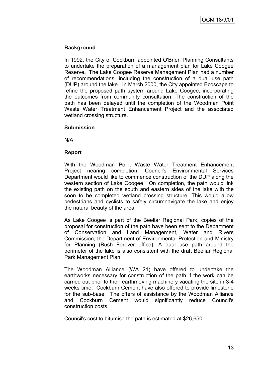In 1992, the City of Cockburn appointed O'Brien Planning Consultants to undertake the preparation of a management plan for Lake Coogee Reserve**.** The Lake Coogee Reserve Management Plan had a number of recommendations, including the construction of a dual use path (DUP) around the lake. In March 2000, the City appointed Ecoscape to refine the proposed path system around Lake Coogee, incorporating the outcomes from community consultation. The construction of the path has been delayed until the completion of the Woodman Point Waste Water Treatment Enhancement Project and the associated wetland crossing structure.

### **Submission**

N/A

### **Report**

With the Woodman Point Waste Water Treatment Enhancement Project nearing completion, Council's Environmental Services Department would like to commence construction of the DUP along the western section of Lake Coogee. On completion, the path would link the existing path on the south and eastern sides of the lake with the soon to be completed wetland crossing structure. This would allow pedestrians and cyclists to safely circumnavigate the lake and enjoy the natural beauty of the area.

As Lake Coogee is part of the Beeliar Regional Park, copies of the proposal for construction of the path have been sent to the Department of Conservation and Land Management, Water and Rivers Commission, the Department of Environmental Protection and Ministry for Planning (Bush Forever office). A dual use path around the perimeter of the lake is also consistent with the draft Beeliar Regional Park Management Plan.

The Woodman Alliance (WA 21) have offered to undertake the earthworks necessary for construction of the path if the work can be carried out prior to their earthmoving machinery vacating the site in 3-4 weeks time. Cockburn Cement have also offered to provide limestone for the sub-base. The offers of assistance by the Woodman Alliance and Cockburn Cement would significantly reduce Council's construction costs.

Council's cost to bitumise the path is estimated at \$26,650.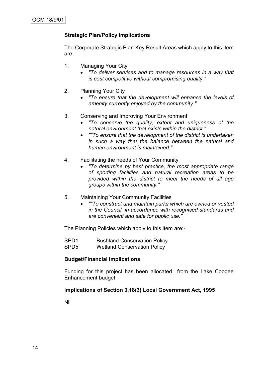## **Strategic Plan/Policy Implications**

The Corporate Strategic Plan Key Result Areas which apply to this item are:-

- 1. Managing Your City
	- *"To deliver services and to manage resources in a way that is cost competitive without compromising quality."*
- 2. Planning Your City
	- *"To ensure that the development will enhance the levels of amenity currently enjoyed by the community."*
- 3. Conserving and Improving Your Environment
	- *"To conserve the quality, extent and uniqueness of the natural environment that exists within the district."*
	- *""To ensure that the development of the district is undertaken in such a way that the balance between the natural and human environment is maintained."*
- 4. Facilitating the needs of Your Community
	- *"To determine by best practice, the most appropriate range of sporting facilities and natural recreation areas to be provided within the district to meet the needs of all age groups within the community."*
- 5. Maintaining Your Community Facilities
	- *""To construct and maintain parks which are owned or vested in the Council, in accordance with recognised standards and are convenient and safe for public use."*

The Planning Policies which apply to this item are:-

SPD1 Bushland Conservation Policy SPD5 Wetland Conservation Policy

#### **Budget/Financial Implications**

Funding for this project has been allocated from the Lake Coogee Enhancement budget.

#### **Implications of Section 3.18(3) Local Government Act, 1995**

Nil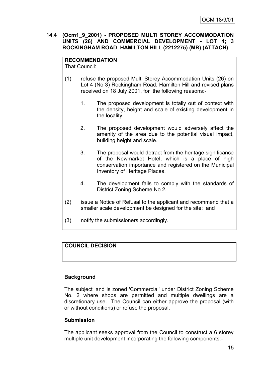## **14.4 (Ocm1\_9\_2001) - PROPOSED MULTI STOREY ACCOMMODATION UNITS (26) AND COMMERCIAL DEVELOPMENT - LOT 4; 3 ROCKINGHAM ROAD, HAMILTON HILL (2212275) (MR) (ATTACH)**

#### **RECOMMENDATION** That Council:

- (1) refuse the proposed Multi Storey Accommodation Units (26) on Lot 4 (No 3) Rockingham Road, Hamilton Hill and revised plans received on 18 July 2001, for the following reasons:-
	- 1. The proposed development is totally out of context with the density, height and scale of existing development in the locality.
	- 2. The proposed development would adversely affect the amenity of the area due to the potential visual impact, building height and scale.
	- 3. The proposal would detract from the heritage significance of the Newmarket Hotel, which is a place of high conservation importance and registered on the Municipal Inventory of Heritage Places.
	- 4. The development fails to comply with the standards of District Zoning Scheme No 2.
- (2) issue a Notice of Refusal to the applicant and recommend that a smaller scale development be designed for the site; and
- (3) notify the submissioners accordingly.

## **COUNCIL DECISION**

## **Background**

The subject land is zoned 'Commercial' under District Zoning Scheme No. 2 where shops are permitted and multiple dwellings are a discretionary use. The Council can either approve the proposal (with or without conditions) or refuse the proposal.

## **Submission**

The applicant seeks approval from the Council to construct a 6 storey multiple unit development incorporating the following components:-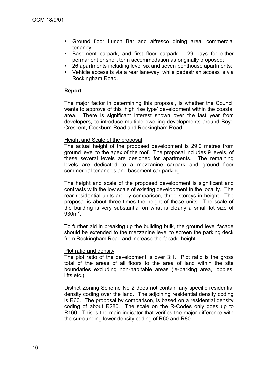- Ground floor Lunch Bar and alfresco dining area, commercial tenancy;
- Basement carpark, and first floor carpark 29 bays for either permanent or short term accommodation as originally proposed;
- 26 apartments including level six and seven penthouse apartments;
- Vehicle access is via a rear laneway, while pedestrian access is via Rockingham Road.

#### **Report**

The major factor in determining this proposal, is whether the Council wants to approve of this 'high rise type' development within the coastal area. There is significant interest shown over the last year from developers, to introduce multiple dwelling developments around Boyd Crescent, Cockburn Road and Rockingham Road.

#### Height and Scale of the proposal

The actual height of the proposed development is 29.0 metres from ground level to the apex of the roof. The proposal includes 9 levels, of these several levels are designed for apartments. The remaining levels are dedicated to a mezzanine carpark and ground floor commercial tenancies and basement car parking.

The height and scale of the proposed development is significant and contrasts with the low scale of existing development in the locality. The rear residential units are by comparison, three storeys in height. The proposal is about three times the height of these units. The scale of the building is very substantial on what is clearly a small lot size of  $930<sup>2</sup>$ .

To further aid in breaking up the building bulk, the ground level facade should be extended to the mezzanine level to screen the parking deck from Rockingham Road and increase the facade height.

#### Plot ratio and density

The plot ratio of the development is over 3:1. Plot ratio is the gross total of the areas of all floors to the area of land within the site boundaries excluding non-habitable areas (ie-parking area, lobbies, lifts etc.)

District Zoning Scheme No 2 does not contain any specific residential density coding over the land. The adjoining residential density coding is R60. The proposal by comparison, is based on a residential density coding of about R280. The scale on the R-Codes only goes up to R160. This is the main indicator that verifies the major difference with the surrounding lower density coding of R60 and R80.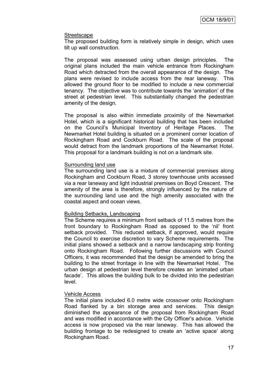#### Streetscape

The proposed building form is relatively simple in design, which uses tilt up wall construction.

The proposal was assessed using urban design principles. The original plans included the main vehicle entrance from Rockingham Road which detracted from the overall appearance of the design. The plans were revised to include access from the rear laneway. This allowed the ground floor to be modified to include a new commercial tenancy. The objective was to contribute towards the "animation" of the street at pedestrian level. This substantially changed the pedestrian amenity of the design.

The proposal is also within immediate proximity of the Newmarket Hotel, which is a significant historical building that has been included on the Council"s Municipal Inventory of Heritage Places. The Newmarket Hotel building is situated on a prominent corner location of Rockingham Road and Cockburn Road. The scale of the proposal would detract from the landmark proportions of the Newmarket Hotel. This proposal for a landmark building is not on a landmark site.

#### Surrounding land use

The surrounding land use is a mixture of commercial premises along Rockingham and Cockburn Road, 3 storey townhouse units accessed via a rear laneway and light industrial premises on Boyd Crescent. The amenity of the area is therefore, strongly influenced by the nature of the surrounding land use and the high amenity associated with the coastal aspect and ocean views.

### Building Setbacks, Landscaping

The Scheme requires a minimum front setback of 11.5 metres from the front boundary to Rockingham Road as opposed to the "nil" front setback provided. This reduced setback, if approved, would require the Council to exercise discretion to vary Scheme requirements. The initial plans showed a setback and a narrow landscaping strip fronting onto Rockingham Road. Following further discussions with Council Officers, it was recommended that the design be amended to bring the building to the street frontage in line with the Newmarket Hotel. The urban design at pedestrian level therefore creates an "animated urban facade'. This allows the building bulk to be divided into the pedestrian level.

### Vehicle Access

The initial plans included 6.0 metre wide crossover onto Rockingham Road flanked by a bin storage area and services. This design diminished the appearance of the proposal from Rockingham Road and was modified in accordance with the City Officer"s advice. Vehicle access is now proposed via the rear laneway. This has allowed the building frontage to be redesigned to create an "active space" along Rockingham Road.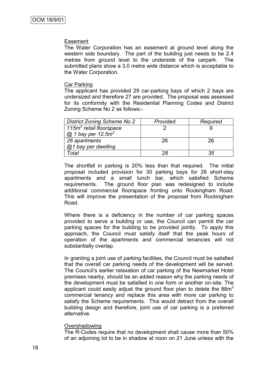#### Easement

The Water Corporation has an easement at ground level along the western side boundary. The part of the building just needs to be 2.4 metres from ground level to the underside of the carpark. The submitted plans show a 3.0 metre wide distance which is acceptable to the Water Corporation.

#### Car Parking

The applicant has provided 29 car-parking bays of which 2 bays are undersized and therefore 27 are provided. The proposal was assessed for its conformity with the Residential Planning Codes and District Zoning Scheme No 2 as follows:-

| <b>District Zoning Scheme No 2</b>  | Provided | Required |
|-------------------------------------|----------|----------|
| 115m <sup>2</sup> retail floorspace |          |          |
| $@$ 1 bay per 12.5m <sup>2</sup>    |          |          |
| 26 apartments                       | 26       | 26       |
| @1 bay per dwelling                 |          |          |
| Total                               | 28       | 35       |

The shortfall in parking is 20% less than that required. The initial proposal included provision for 30 parking bays for 26 short-stay apartments and a small lunch bar, which satisfied Scheme requirements. The ground floor plan was redesigned to include additional commercial floorspace fronting onto Rockingham Road. This will improve the presentation of the proposal from Rockingham Road.

Where there is a deficiency in the number of car parking spaces provided to serve a building or use, the Council can permit the car parking spaces for the building to be provided jointly. To apply this approach, the Council must satisfy itself that the peak hours of operation of the apartments and commercial tenancies will not substantially overlap.

In granting a joint use of parking facilities, the Council must be satisfied that the overall car parking needs of the development will be served. The Council"s earlier relaxation of car parking of the Newmarket Hotel premises nearby, should be an added reason why the parking needs of the development must be satisfied in one form or another on-site. The applicant could easily adjust the ground floor plan to delete the  $88m<sup>2</sup>$ commercial tenancy and replace this area with more car parking to satisfy the Scheme requirements. This would detract from the overall building design and therefore, joint use of car parking is a preferred alternative.

#### Overshadowing

The R-Codes require that no development shall cause more than 50% of an adjoining lot to be in shadow at noon on 21 June unless with the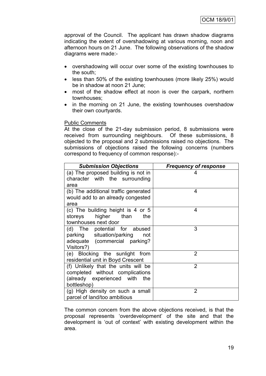approval of the Council. The applicant has drawn shadow diagrams indicating the extent of overshadowing at various morning, noon and afternoon hours on 21 June. The following observations of the shadow diagrams were made:-

- overshadowing will occur over some of the existing townhouses to the south;
- less than 50% of the existing townhouses (more likely 25%) would be in shadow at noon 21 June;
- most of the shadow effect at noon is over the carpark, northern townhouses;
- in the morning on 21 June, the existing townhouses overshadow their own courtyards.

#### Public Comments

At the close of the 21-day submission period, 8 submissions were received from surrounding neighbours. Of these submissions, 8 objected to the proposal and 2 submissions raised no objections. The submissions of objections raised the following concerns (numbers correspond to frequency of common response):-

| <b>Submission Objections</b>                                                                                              | <b>Frequency of response</b> |  |
|---------------------------------------------------------------------------------------------------------------------------|------------------------------|--|
| (a) The proposed building is not in<br>character with the surrounding<br>area                                             |                              |  |
| (b) The additional traffic generated<br>would add to an already congested<br>area                                         | 4                            |  |
| (c) The building height is 4 or 5<br>higher than<br>the<br>storeys<br>townhouses next door                                | 4                            |  |
| (d) The potential for abused<br>parking situation/parking<br>not<br>adequate (commercial parking?<br>Visitors?)           | 3                            |  |
| (e) Blocking the sunlight from<br>residential unit in Boyd Crescent                                                       | $\overline{2}$               |  |
| (f) Unlikely that the units will be<br>completed without complications<br>(already experienced with<br>the<br>bottleshop) | $\overline{2}$               |  |
| (g) High density on such a small<br>parcel of land/too ambitious                                                          | 2                            |  |

The common concern from the above objections received, is that the proposal represents "overdevelopment" of the site and that the development is "out of context" with existing development within the area.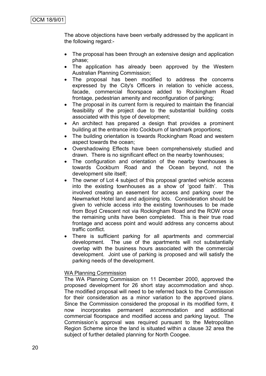The above objections have been verbally addressed by the applicant in the following regard:-

- The proposal has been through an extensive design and application phase;
- The application has already been approved by the Western Australian Planning Commission;
- The proposal has been modified to address the concerns expressed by the City's Officers in relation to vehicle access, facade, commercial floorspace added to Rockingham Road frontage, pedestrian amenity and reconfiguration of parking;
- The proposal in its current form is required to maintain the financial feasibility of the project due to the substantial building costs associated with this type of development;
- An architect has prepared a design that provides a prominent building at the entrance into Cockburn of landmark proportions;
- The building orientation is towards Rockingham Road and western aspect towards the ocean;
- Overshadowing Effects have been comprehensively studied and drawn. There is no significant effect on the nearby townhouses;
- The configuration and orientation of the nearby townhouses is towards Cockburn Road and the Ocean beyond, not the development site itself;
- The owner of Lot 4 subject of this proposal granted vehicle access into the existing townhouses as a show of "good faith". This involved creating an easement for access and parking over the Newmarket Hotel land and adjoining lots. Consideration should be given to vehicle access into the existing townhouses to be made from Boyd Crescent not via Rockingham Road and the ROW once the remaining units have been completed. This is their true road frontage and access point and would address any concerns about traffic conflict.
- There is sufficient parking for all apartments and commercial development. The use of the apartments will not substantially overlap with the business hours associated with the commercial development. Joint use of parking is proposed and will satisfy the parking needs of the development.

### WA Planning Commission

The WA Planning Commission on 11 December 2000, approved the proposed development for 26 short stay accommodation and shop. The modified proposal will need to be referred back to the Commission for their consideration as a minor variation to the approved plans. Since the Commission considered the proposal in its modified form, it now incorporates permanent accommodation and additional commercial floorspace and modified access and parking layout. The Commission"s approval was required pursuant to the Metropolitan Region Scheme since the land is situated within a clause 32 area the subject of further detailed planning for North Coogee.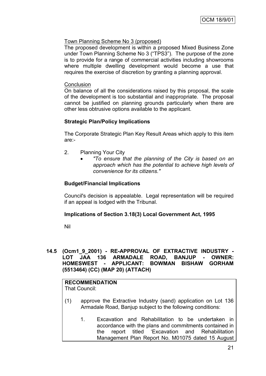## Town Planning Scheme No 3 (proposed)

The proposed development is within a proposed Mixed Business Zone under Town Planning Scheme No 3 ("TPS3"). The purpose of the zone is to provide for a range of commercial activities including showrooms where multiple dwelling development would become a use that requires the exercise of discretion by granting a planning approval.

#### **Conclusion**

On balance of all the considerations raised by this proposal, the scale of the development is too substantial and inappropriate. The proposal cannot be justified on planning grounds particularly when there are other less obtrusive options available to the applicant.

### **Strategic Plan/Policy Implications**

The Corporate Strategic Plan Key Result Areas which apply to this item are:-

- 2. Planning Your City
	- *"To ensure that the planning of the City is based on an approach which has the potential to achieve high levels of convenience for its citizens."*

#### **Budget/Financial Implications**

Council's decision is appealable. Legal representation will be required if an appeal is lodged with the Tribunal.

### **Implications of Section 3.18(3) Local Government Act, 1995**

Nil

### **14.5 (Ocm1\_9\_2001) - RE-APPROVAL OF EXTRACTIVE INDUSTRY - LOT JAA 136 ARMADALE ROAD, BANJUP - OWNER: HOMESWEST - APPLICANT: BOWMAN BISHAW GORHAM (5513464) (CC) (MAP 20) (ATTACH)**

#### **RECOMMENDATION** That Council:

- (1) approve the Extractive Industry (sand) application on Lot 136 Armadale Road, Banjup subject to the following conditions:
	- 1. Excavation and Rehabilitation to be undertaken in accordance with the plans and commitments contained in the report titled "Excavation and Rehabilitation Management Plan Report No. M01075 dated 15 August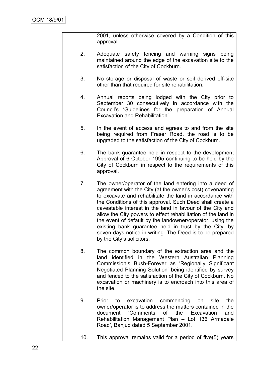2001, unless otherwise covered by a Condition of this approval.

- 2. Adequate safety fencing and warning signs being maintained around the edge of the excavation site to the satisfaction of the City of Cockburn.
- 3. No storage or disposal of waste or soil derived off-site other than that required for site rehabilitation.
- 4. Annual reports being lodged with the City prior to September 30 consecutively in accordance with the Council"s "Guidelines for the preparation of Annual Excavation and Rehabilitation".
- 5. In the event of access and egress to and from the site being required from Fraser Road, the road is to be upgraded to the satisfaction of the City of Cockburn.
- 6. The bank guarantee held in respect to the development Approval of 6 October 1995 continuing to be held by the City of Cockburn in respect to the requirements of this approval.
- 7. The owner/operator of the land entering into a deed of agreement with the City (at the owner's cost) covenanting to excavate and rehabilitate the land in accordance with the Conditions of this approval. Such Deed shall create a caveatable interest in the land in favour of the City and allow the City powers to effect rehabilitation of the land in the event of default by the landowner/operator, using the existing bank guarantee held in trust by the City, by seven days notice in writing. The Deed is to be prepared by the City"s solicitors.
- 8. The common boundary of the extraction area and the land identified in the Western Australian Planning Commission"s Bush-Forever as "Regionally Significant Negotiated Planning Solution" being identified by survey and fenced to the satisfaction of the City of Cockburn. No excavation or machinery is to encroach into this area of the site.
- 9. Prior to excavation commencing on site the owner/operator is to address the matters contained in the document "Comments of the Excavation and Rehabilitation Management Plan – Lot 136 Armadale Road", Banjup dated 5 September 2001.
- 10. This approval remains valid for a period of five(5) years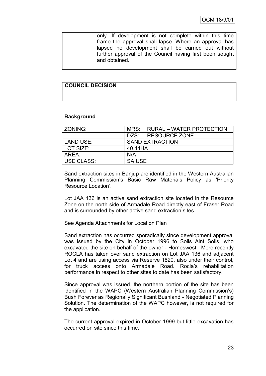only. If development is not complete within this time frame the approval shall lapse. Where an approval has lapsed no development shall be carried out without further approval of the Council having first been sought and obtained.

## **COUNCIL DECISION**

### **Background**

| ZONING:    | MRS:<br><b>RURAL – WATER PROTECTION</b> |                      |  |
|------------|-----------------------------------------|----------------------|--|
|            |                                         | DZS:   RESOURCE ZONE |  |
| LAND USE:  | <b>SAND EXTRACTION</b>                  |                      |  |
| LOT SIZE:  | 40.44HA                                 |                      |  |
| AREA:      | N/A                                     |                      |  |
| USE CLASS: | <b>SA USE</b>                           |                      |  |

Sand extraction sites in Banjup are identified in the Western Australian Planning Commission"s Basic Raw Materials Policy as "Priority Resource Location".

Lot JAA 136 is an active sand extraction site located in the Resource Zone on the north side of Armadale Road directly east of Fraser Road and is surrounded by other active sand extraction sites.

See Agenda Attachments for Location Plan

Sand extraction has occurred sporadically since development approval was issued by the City in October 1996 to Soils Aint Soils, who excavated the site on behalf of the owner - Homeswest. More recently ROCLA has taken over sand extraction on Lot JAA 136 and adjacent Lot 4 and are using access via Reserve 1820, also under their control, for truck access onto Armadale Road. Rocla's rehabilitation performance in respect to other sites to date has been satisfactory.

Since approval was issued, the northern portion of the site has been identified in the WAPC (Western Australian Planning Commission"s) Bush Forever as Regionally Significant Bushland - Negotiated Planning Solution. The determination of the WAPC however, is not required for the application.

The current approval expired in October 1999 but little excavation has occurred on site since this time.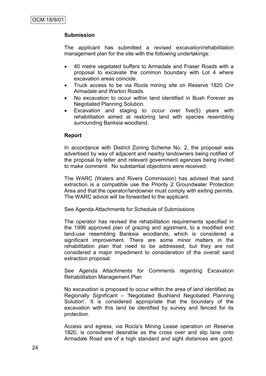## **Submission**

The applicant has submitted a revised excavation/rehabilitation management plan for the site with the following undertakings:

- 40 metre vegetated buffers to Armadale and Fraser Roads with a proposal to excavate the common boundary with Lot 4 where excavation areas coincide.
- Truck access to be via Rocla mining site on Reserve 1820 Cnr Armadale and Warton Roads.
- No excavation to occur within land identified in Bush Forever as Negotiated Planning Solution.
- Excavation and staging to occur over five(5) years with rehabilitation aimed at restoring land with species resembling surrounding Banksia woodland.

### **Report**

In accordance with District Zoning Scheme No. 2, the proposal was advertised by way of adjacent and nearby landowners being notified of the proposal by letter and relevant government agencies being invited to make comment. No substantial objections were received.

The WARC (Waters and Rivers Commission) has advised that sand extraction is a compatible use the Priority 2 Groundwater Protection Area and that the operator/landowner must comply with exiting permits. The WARC advice will be forwarded to the applicant.

### See Agenda Attachments for Schedule of Submissions

The operator has revised the rehabilitation requirements specified in the 1996 approved plan of grazing and agistment, to a modified end land-use resembling Banksia woodlands, which is considered a significant improvement. There are some minor matters in the rehabilitation plan that need to be addressed, but they are not considered a major impediment to consideration of the overall sand extraction proposal.

See Agenda Attachments for Comments regarding Excavation Rehabilitation Management Plan

No excavation is proposed to occur within the area of land identified as Regionally Significant – "Negotiated Bushland Negotiated Planning Solution". It is considered appropriate that the boundary of the excavation with this land be identified by survey and fenced for its protection.

Access and egress, via Rocla"s Mining Lease operation on Reserve 1820, is considered desirable as the cross over and slip lane onto Armadale Road are of a high standard and sight distances are good.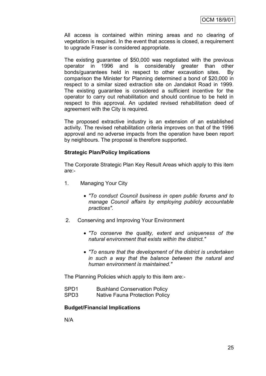All access is contained within mining areas and no clearing of vegetation is required. In the event that access is closed, a requirement to upgrade Fraser is considered appropriate.

The existing guarantee of \$50,000 was negotiated with the previous operator in 1996 and is considerably greater than other bonds/guarantees held in respect to other excavation sites. By comparison the Minister for Planning determined a bond of \$20,000 in respect to a similar sized extraction site on Jandakot Road in 1999. The existing guarantee is considered a sufficient incentive for the operator to carry out rehabilitation and should continue to be held in respect to this approval. An updated revised rehabilitation deed of agreement with the City is required.

The proposed extractive industry is an extension of an established activity. The revised rehabilitation criteria improves on that of the 1996 approval and no adverse impacts from the operation have been report by neighbours. The proposal is therefore supported.

### **Strategic Plan/Policy Implications**

The Corporate Strategic Plan Key Result Areas which apply to this item are:-

- 1. Managing Your City
	- *"To conduct Council business in open public forums and to manage Council affairs by employing publicly accountable practices".*
- 2. Conserving and Improving Your Environment
	- *"To conserve the quality, extent and uniqueness of the natural environment that exists within the district."*
	- *"To ensure that the development of the district is undertaken in such a way that the balance between the natural and human environment is maintained."*

The Planning Policies which apply to this item are:-

| SPD <sub>1</sub> | <b>Bushland Conservation Policy</b> |
|------------------|-------------------------------------|
| SPD <sub>3</sub> | Native Fauna Protection Policy      |

### **Budget/Financial Implications**

N/A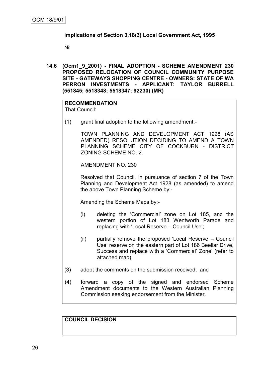### **Implications of Section 3.18(3) Local Government Act, 1995**

Nil

**14.6 (Ocm1\_9\_2001) - FINAL ADOPTION - SCHEME AMENDMENT 230 PROPOSED RELOCATION OF COUNCIL COMMUNITY PURPOSE SITE - GATEWAYS SHOPPING CENTRE - OWNERS: STATE OF WA PERRON INVESTMENTS - APPLICANT: TAYLOR BURRELL (551845; 5518348; 5518347; 92230) (MR)**

#### **RECOMMENDATION** That Council:

(1) grant final adoption to the following amendment:-

TOWN PLANNING AND DEVELOPMENT ACT 1928 (AS AMENDED) RESOLUTION DECIDING TO AMEND A TOWN PLANNING SCHEME CITY OF COCKBURN - DISTRICT ZONING SCHEME NO. 2.

AMENDMENT NO. 230

Resolved that Council, in pursuance of section 7 of the Town Planning and Development Act 1928 (as amended) to amend the above Town Planning Scheme by:-

Amending the Scheme Maps by:-

- (i) deleting the "Commercial" zone on Lot 185, and the western portion of Lot 183 Wentworth Parade and replacing with "Local Reserve – Council Use";
- (ii) partially remove the proposed "Local Reserve Council Use" reserve on the eastern part of Lot 186 Beeliar Drive, Success and replace with a "Commercial" Zone" (refer to attached map).
- (3) adopt the comments on the submission received; and
- (4) forward a copy of the signed and endorsed Scheme Amendment documents to the Western Australian Planning Commission seeking endorsement from the Minister.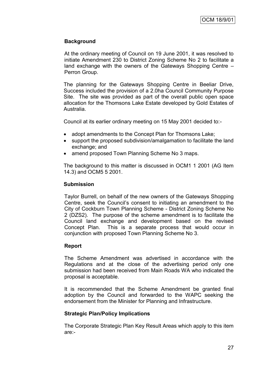At the ordinary meeting of Council on 19 June 2001, it was resolved to initiate Amendment 230 to District Zoning Scheme No 2 to facilitate a land exchange with the owners of the Gateways Shopping Centre – Perron Group.

The planning for the Gateways Shopping Centre in Beeliar Drive, Success included the provision of a 2.0ha Council Community Purpose Site. The site was provided as part of the overall public open space allocation for the Thomsons Lake Estate developed by Gold Estates of Australia.

Council at its earlier ordinary meeting on 15 May 2001 decided to:-

- adopt amendments to the Concept Plan for Thomsons Lake;
- support the proposed subdivision/amalgamation to facilitate the land exchange; and
- amend proposed Town Planning Scheme No 3 maps.

The background to this matter is discussed in OCM1 1 2001 (AG Item 14.3) and OCM5 5 2001.

#### **Submission**

Taylor Burrell, on behalf of the new owners of the Gateways Shopping Centre, seek the Council"s consent to initiating an amendment to the City of Cockburn Town Planning Scheme - District Zoning Scheme No 2 (DZS2). The purpose of the scheme amendment is to facilitate the Council land exchange and development based on the revised Concept Plan. This is a separate process that would occur in conjunction with proposed Town Planning Scheme No 3.

### **Report**

The Scheme Amendment was advertised in accordance with the Regulations and at the close of the advertising period only one submission had been received from Main Roads WA who indicated the proposal is acceptable.

It is recommended that the Scheme Amendment be granted final adoption by the Council and forwarded to the WAPC seeking the endorsement from the Minister for Planning and Infrastructure.

### **Strategic Plan/Policy Implications**

The Corporate Strategic Plan Key Result Areas which apply to this item are:-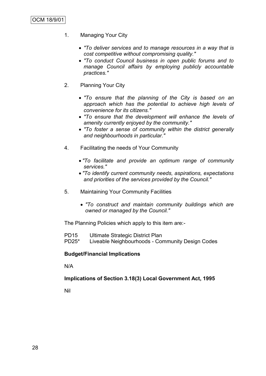- 1. Managing Your City
	- *"To deliver services and to manage resources in a way that is cost competitive without compromising quality."*
	- *"To conduct Council business in open public forums and to manage Council affairs by employing publicly accountable practices."*
- 2. Planning Your City
	- *"To ensure that the planning of the City is based on an approach which has the potential to achieve high levels of convenience for its citizens."*
	- *"To ensure that the development will enhance the levels of amenity currently enjoyed by the community."*
	- *"To foster a sense of community within the district generally and neighbourhoods in particular."*
- 4. Facilitating the needs of Your Community
	- *"To facilitate and provide an optimum range of community services."*
	- *"To identify current community needs, aspirations, expectations and priorities of the services provided by the Council."*
- 5. Maintaining Your Community Facilities
	- *"To construct and maintain community buildings which are owned or managed by the Council."*

The Planning Policies which apply to this item are:-

- PD15 Ultimate Strategic District Plan
- PD25\* Liveable Neighbourhoods Community Design Codes

### **Budget/Financial Implications**

N/A

### **Implications of Section 3.18(3) Local Government Act, 1995**

Nil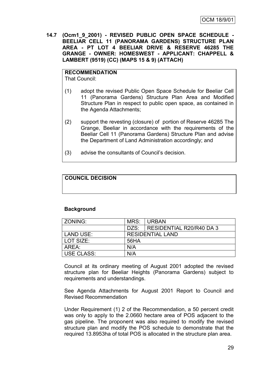**14.7 (Ocm1\_9\_2001) - REVISED PUBLIC OPEN SPACE SCHEDULE - BEELIAR CELL 11 (PANORAMA GARDENS) STRUCTURE PLAN AREA - PT LOT 4 BEELIAR DRIVE & RESERVE 46285 THE GRANGE - OWNER: HOMESWEST - APPLICANT: CHAPPELL & LAMBERT (9519) (CC) (MAPS 15 & 9) (ATTACH)**

# **RECOMMENDATION**

That Council:

- (1) adopt the revised Public Open Space Schedule for Beeliar Cell 11 (Panorama Gardens) Structure Plan Area and Modified Structure Plan in respect to public open space, as contained in the Agenda Attachments;
- (2) support the revesting (closure) of portion of Reserve 46285 The Grange, Beeliar in accordance with the requirements of the Beeliar Cell 11 (Panorama Gardens) Structure Plan and advise the Department of Land Administration accordingly; and
- (3) advise the consultants of Council"s decision.

## **COUNCIL DECISION**

### **Background**

| ZONING:           | MRS:                    | URBAN                    |  |
|-------------------|-------------------------|--------------------------|--|
|                   | DZS:                    | RESIDENTIAL R20/R40 DA 3 |  |
| LAND USE:         | <b>RESIDENTIAL LAND</b> |                          |  |
| LOT SIZE:         | 56HA                    |                          |  |
| AREA:             | N/A                     |                          |  |
| <b>USE CLASS:</b> | N/A                     |                          |  |

Council at its ordinary meeting of August 2001 adopted the revised structure plan for Beeliar Heights (Panorama Gardens) subject to requirements and understandings.

See Agenda Attachments for August 2001 Report to Council and Revised Recommendation

Under Requirement (1) 2 of the Recommendation, a 50 percent credit was only to apply to the 2.0660 hectare area of POS adjacent to the gas pipeline. The proponent was also required to modify the revised structure plan and modify the POS schedule to demonstrate that the required 13.8953ha of total POS is allocated in the structure plan area.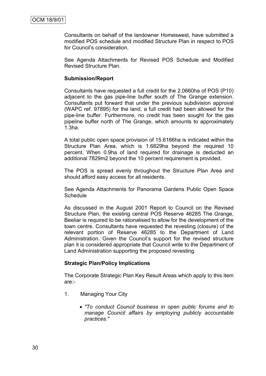Consultants on behalf of the landowner Homeswest, have submitted a modified POS schedule and modified Structure Plan in respect to POS for Council"s consideration.

See Agenda Attachments for Revised POS Schedule and Modified Revised Structure Plan.

#### **Submission/Report**

Consultants have requested a full credit for the 2.0660ha of POS (P10) adjacent to the gas pipe-line buffer south of The Grange extension. Consultants put forward that under the previous subdivision approval (WAPC ref. 97895) for the land, a full credit had been allowed for the pipe-line buffer. Furthermore, no credit has been sought for the gas pipeline buffer north of The Grange, which amounts to approximately 1.3ha.

A total public open space provision of 15.6166ha is indicated within the Structure Plan Area, which is 1.6829ha beyond the required 10 percent. When 0.9ha of land required for drainage is deducted an additional 7829m2 beyond the 10 percent requirement is provided.

The POS is spread evenly throughout the Structure Plan Area and should afford easy access for all residents.

See Agenda Attachments for Panorama Gardens Public Open Space **Schedule** 

As discussed in the August 2001 Report to Council on the Revised Structure Plan, the existing central POS Reserve 46285 The Grange, Beeliar is required to be rationalised to allow for the development of the town centre. Consultants have requested the revesting (closure) of the relevant portion of Reserve 46285 to the Department of Land Administration. Given the Council"s support for the revised structure plan it is considered appropriate that Council write to the Department of Land Administration supporting the proposed revesting.

### **Strategic Plan/Policy Implications**

The Corporate Strategic Plan Key Result Areas which apply to this item are:-

- 1. Managing Your City
	- *"To conduct Council business in open public forums and to manage Council affairs by employing publicly accountable practices."*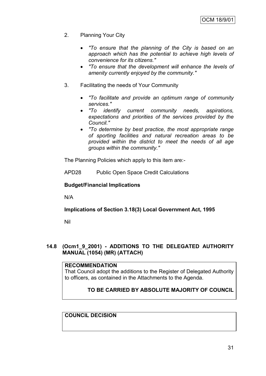- 2. Planning Your City
	- *"To ensure that the planning of the City is based on an approach which has the potential to achieve high levels of convenience for its citizens."*
	- *"To ensure that the development will enhance the levels of amenity currently enjoyed by the community."*
- 3. Facilitating the needs of Your Community
	- *"To facilitate and provide an optimum range of community services."*
	- *"To identify current community needs, aspirations, expectations and priorities of the services provided by the Council."*
	- *"To determine by best practice, the most appropriate range of sporting facilities and natural recreation areas to be provided within the district to meet the needs of all age groups within the community."*

The Planning Policies which apply to this item are:-

APD28 Public Open Space Credit Calculations

### **Budget/Financial Implications**

N/A

### **Implications of Section 3.18(3) Local Government Act, 1995**

Nil

### **14.8 (Ocm1\_9\_2001) - ADDITIONS TO THE DELEGATED AUTHORITY MANUAL (1054) (MR) (ATTACH)**

### **RECOMMENDATION**

That Council adopt the additions to the Register of Delegated Authority to officers, as contained in the Attachments to the Agenda.

### **TO BE CARRIED BY ABSOLUTE MAJORITY OF COUNCIL**

## **COUNCIL DECISION**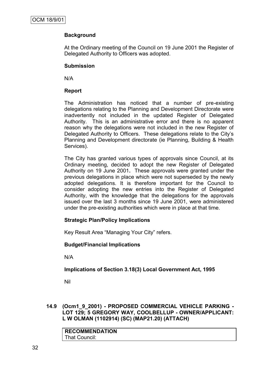## **Background**

At the Ordinary meeting of the Council on 19 June 2001 the Register of Delegated Authority to Officers was adopted.

### **Submission**

N/A

### **Report**

The Administration has noticed that a number of pre-existing delegations relating to the Planning and Development Directorate were inadvertently not included in the updated Register of Delegated Authority. This is an administrative error and there is no apparent reason why the delegations were not included in the new Register of Delegated Authority to Officers. These delegations relate to the City"s Planning and Development directorate (ie Planning, Building & Health Services).

The City has granted various types of approvals since Council, at its Ordinary meeting, decided to adopt the new Register of Delegated Authority on 19 June 2001**.** These approvals were granted under the previous delegations in place which were not superseded by the newly adopted delegations. It is therefore important for the Council to consider adopting the new entries into the Register of Delegated Authority, with the knowledge that the delegations for the approvals issued over the last 3 months since 19 June 2001, were administered under the pre-existing authorities which were in place at that time.

## **Strategic Plan/Policy Implications**

Key Result Area "Managing Your City" refers.

### **Budget/Financial Implications**

N/A

## **Implications of Section 3.18(3) Local Government Act, 1995**

Nil

**14.9 (Ocm1\_9\_2001) - PROPOSED COMMERCIAL VEHICLE PARKING - LOT 129; 5 GREGORY WAY, COOLBELLUP - OWNER/APPLICANT: L W OLMAN (1102914) (SC) (MAP21.20) (ATTACH)**

| <b>RECOMMENDATION</b> |  |
|-----------------------|--|
| That Council:         |  |
|                       |  |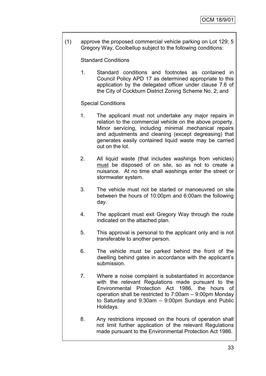(1) approve the proposed commercial vehicle parking on Lot 129; 5 Gregory Way, Coolbellup subject to the following conditions:

Standard Conditions

1. Standard conditions and footnotes as contained in Council Policy APD 17 as determined appropriate to this application by the delegated officer under clause 7.6 of the City of Cockburn District Zoning Scheme No. 2; and

## Special Conditions

- 1. The applicant must not undertake any major repairs in relation to the commercial vehicle on the above property. Minor servicing, including minimal mechanical repairs and adjustments and cleaning (except degreasing) that generates easily contained liquid waste may be carried out on the lot.
- 2. All liquid waste (that includes washings from vehicles) must be disposed of on site, so as not to create a nuisance. At no time shall washings enter the street or stormwater system.
- 3. The vehicle must not be started or manoeuvred on site between the hours of 10:00pm and 6:00am the following day.
- 4. The applicant must exit Gregory Way through the route indicated on the attached plan.
- 5. This approval is personal to the applicant only and is not transferable to another person.
- 6. The vehicle must be parked behind the front of the dwelling behind gates in accordance with the applicant's submission.
- 7. Where a noise complaint is substantiated in accordance with the relevant Regulations made pursuant to the Environmental Protection Act 1986, the hours of operation shall be restricted to 7:00am – 9:00pm Monday to Saturday and 9:30am – 9:00pm Sundays and Public Holidays.
- 8. Any restrictions imposed on the hours of operation shall not limit further application of the relevant Regulations made pursuant to the Environmental Protection Act 1986.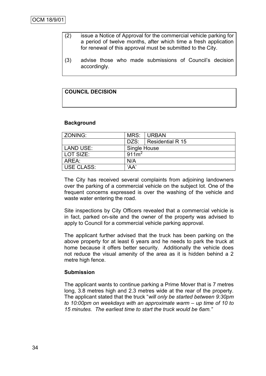- (2) issue a Notice of Approval for the commercial vehicle parking for a period of twelve months, after which time a fresh application for renewal of this approval must be submitted to the City.
- (3) advise those who made submissions of Council"s decision accordingly.

## **COUNCIL DECISION**

#### **Background**

| <b>ZONING:</b>    | MRS:              | ∣URBAN                |  |  |
|-------------------|-------------------|-----------------------|--|--|
|                   |                   | DZS: Residential R 15 |  |  |
| LAND USE:         | Single House      |                       |  |  |
| LOT SIZE:         | 911m <sup>2</sup> |                       |  |  |
| AREA:             | N/A               |                       |  |  |
| <b>USE CLASS:</b> | 'AA'              |                       |  |  |

The City has received several complaints from adjoining landowners over the parking of a commercial vehicle on the subject lot. One of the frequent concerns expressed is over the washing of the vehicle and waste water entering the road.

Site inspections by City Officers revealed that a commercial vehicle is in fact, parked on-site and the owner of the property was advised to apply to Council for a commercial vehicle parking approval.

The applicant further advised that the truck has been parking on the above property for at least 6 years and he needs to park the truck at home because it offers better security. Additionally the vehicle does not reduce the visual amenity of the area as it is hidden behind a 2 metre high fence.

#### **Submission**

The applicant wants to continue parking a Prime Mover that is 7 metres long, 3.8 metres high and 2.3 metres wide at the rear of the property. The applicant stated that the truck "*will only be started between 9:30pm to 10:00pm on weekdays with an approximate warm – up time of 10 to 15 minutes. The earliest time to start the truck would be 6am."*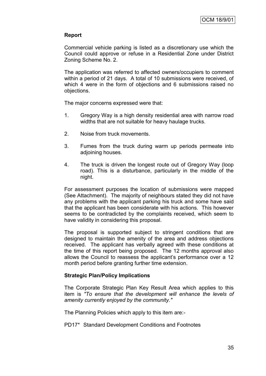### **Report**

Commercial vehicle parking is listed as a discretionary use which the Council could approve or refuse in a Residential Zone under District Zoning Scheme No. 2.

The application was referred to affected owners/occupiers to comment within a period of 21 days. A total of 10 submissions were received, of which 4 were in the form of objections and 6 submissions raised no objections.

The major concerns expressed were that:

- 1. Gregory Way is a high density residential area with narrow road widths that are not suitable for heavy haulage trucks.
- 2. Noise from truck movements.
- 3. Fumes from the truck during warm up periods permeate into adjoining houses.
- 4. The truck is driven the longest route out of Gregory Way (loop road). This is a disturbance, particularly in the middle of the night.

For assessment purposes the location of submissions were mapped (See Attachment). The majority of neighbours stated they did not have any problems with the applicant parking his truck and some have said that the applicant has been considerate with his actions. This however seems to be contradicted by the complaints received, which seem to have validity in considering this proposal.

The proposal is supported subject to stringent conditions that are designed to maintain the amenity of the area and address objections received. The applicant has verbally agreed with these conditions at the time of this report being proposed. The 12 months approval also allows the Council to reassess the applicant's performance over a 12 month period before granting further time extension.

### **Strategic Plan/Policy Implications**

The Corporate Strategic Plan Key Result Area which applies to this item is *"To ensure that the development will enhance the levels of amenity currently enjoyed by the community."*

The Planning Policies which apply to this item are:-

PD17\* Standard Development Conditions and Footnotes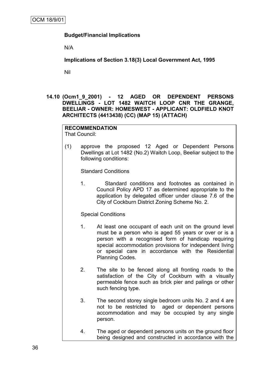## **Budget/Financial Implications**

N/A

**Implications of Section 3.18(3) Local Government Act, 1995**

Nil

**14.10 (Ocm1\_9\_2001) - 12 AGED OR DEPENDENT PERSONS DWELLINGS - LOT 1482 WAITCH LOOP CNR THE GRANGE, BEELIAR - OWNER: HOMESWEST - APPLICANT: OLDFIELD KNOT ARCHITECTS (4413438) (CC) (MAP 15) (ATTACH)**

## **RECOMMENDATION**

That Council:

(1) approve the proposed 12 Aged or Dependent Persons Dwellings at Lot 1482 (No.2) Waitch Loop, Beeliar subject to the following conditions:

Standard Conditions

1. Standard conditions and footnotes as contained in Council Policy APD 17 as determined appropriate to the application by delegated officer under clause 7.6 of the City of Cockburn District Zoning Scheme No. 2.

Special Conditions

- 1. At least one occupant of each unit on the ground level must be a person who is aged 55 years or over or is a person with a recognised form of handicap requiring special accommodation provisions for independent living or special care in accordance with the Residential Planning Codes.
- 2. The site to be fenced along all fronting roads to the satisfaction of the City of Cockburn with a visually permeable fence such as brick pier and palings or other such fencing type.
- 3. The second storey single bedroom units No. 2 and 4 are not to be restricted to aged or dependent persons accommodation and may be occupied by any single person.
- 4. The aged or dependent persons units on the ground floor being designed and constructed in accordance with the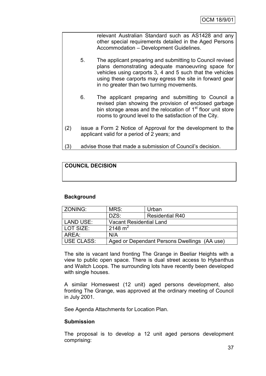relevant Australian Standard such as AS1428 and any other special requirements detailed in the Aged Persons Accommodation – Development Guidelines.

- 5. The applicant preparing and submitting to Council revised plans demonstrating adequate manoeuvring space for vehicles using carports 3, 4 and 5 such that the vehicles using these carports may egress the site in forward gear in no greater than two turning movements.
- 6. The applicant preparing and submitting to Council a revised plan showing the provision of enclosed garbage bin storage areas and the relocation of  $1<sup>st</sup>$  floor unit store rooms to ground level to the satisfaction of the City.
- (2) issue a Form 2 Notice of Approval for the development to the applicant valid for a period of 2 years; and
- (3) advise those that made a submission of Council"s decision.

## **COUNCIL DECISION**

### **Background**

| l ZONING:  | MRS:                                         | Urban                  |  |
|------------|----------------------------------------------|------------------------|--|
|            | DZS:                                         | <b>Residential R40</b> |  |
| LAND USE:  | <b>Vacant Residential Land</b>               |                        |  |
| LOT SIZE:  | 2148 m <sup>2</sup>                          |                        |  |
| AREA:      | N/A                                          |                        |  |
| USE CLASS: | Aged or Dependant Persons Dwellings (AA use) |                        |  |

The site is vacant land fronting The Grange in Beeliar Heights with a view to public open space. There is dual street access to Hybanthus and Waitch Loops. The surrounding lots have recently been developed with single houses.

A similar Homeswest (12 unit) aged persons development, also fronting The Grange, was approved at the ordinary meeting of Council in July 2001.

See Agenda Attachments for Location Plan.

### **Submission**

The proposal is to develop a 12 unit aged persons development comprising: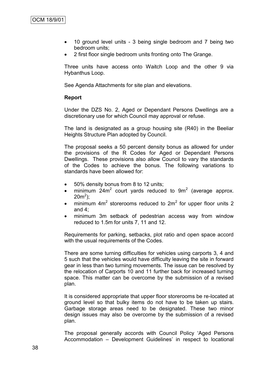- 10 ground level units 3 being single bedroom and 7 being two bedroom units;
- 2 first floor single bedroom units fronting onto The Grange.

Three units have access onto Waitch Loop and the other 9 via Hybanthus Loop.

See Agenda Attachments for site plan and elevations.

### **Report**

Under the DZS No. 2, Aged or Dependant Persons Dwellings are a discretionary use for which Council may approval or refuse.

The land is designated as a group housing site (R40) in the Beeliar Heights Structure Plan adopted by Council.

The proposal seeks a 50 percent density bonus as allowed for under the provisions of the R Codes for Aged or Dependant Persons Dwellings. These provisions also allow Council to vary the standards of the Codes to achieve the bonus. The following variations to standards have been allowed for:

- 50% density bonus from 8 to 12 units;
- minimum 24m<sup>2</sup> court yards reduced to  $9m^2$  (average approx.  $20m^2$ );
- minimum  $4m^2$  storerooms reduced to  $2m^2$  for upper floor units 2 and 4;
- minimum 3m setback of pedestrian access way from window reduced to 1.5m for units 7, 11 and 12.

Requirements for parking, setbacks, plot ratio and open space accord with the usual requirements of the Codes.

There are some turning difficulties for vehicles using carports 3, 4 and 5 such that the vehicles would have difficulty leaving the site in forward gear in less than two turning movements. The issue can be resolved by the relocation of Carports 10 and 11 further back for increased turning space. This matter can be overcome by the submission of a revised plan.

It is considered appropriate that upper floor storerooms be re-located at ground level so that bulky items do not have to be taken up stairs. Garbage storage areas need to be designated. These two minor design issues may also be overcome by the submission of a revised plan.

The proposal generally accords with Council Policy "Aged Persons Accommodation – Development Guidelines" in respect to locational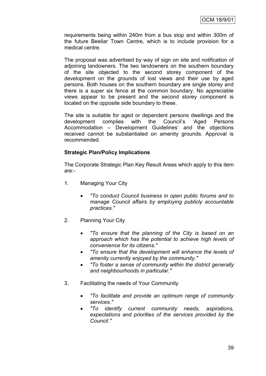requirements being within 240m from a bus stop and within 300m of the future Beeliar Town Centre, which is to include provision for a medical centre.

The proposal was advertised by way of sign on site and notification of adjoining landowners. The two landowners on the southern boundary of the site objected to the second storey component of the development on the grounds of lost views and their use by aged persons. Both houses on the southern boundary are single storey and there is a super six fence at the common boundary. No appreciable views appear to be present and the second storey component is located on the opposite side boundary to these.

The site is suitable for aged or dependent persons dwellings and the development complies with the Council"s "Aged Persons Accommodation – Development Guidelines' and the objections received cannot be substantiated on amenity grounds. Approval is recommended.

### **Strategic Plan/Policy Implications**

The Corporate Strategic Plan Key Result Areas which apply to this item are:-

- 1. Managing Your City
	- *"To conduct Council business in open public forums and to manage Council affairs by employing publicly accountable practices."*
- 2. Planning Your City
	- *"To ensure that the planning of the City is based on an approach which has the potential to achieve high levels of convenience for its citizens."*
	- *"To ensure that the development will enhance the levels of amenity currently enjoyed by the community."*
	- *"To foster a sense of community within the district generally and neighbourhoods in particular."*
- 3. Facilitating the needs of Your Community
	- *"To facilitate and provide an optimum range of community services."*
	- *"To identify current community needs, aspirations, expectations and priorities of the services provided by the Council."*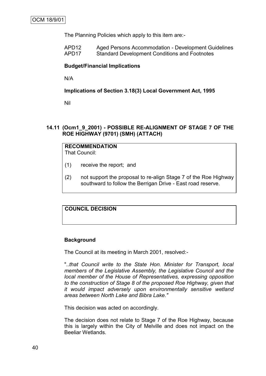The Planning Policies which apply to this item are:-

| APD12 | Aged Persons Accommodation - Development Guidelines  |
|-------|------------------------------------------------------|
| APD17 | <b>Standard Development Conditions and Footnotes</b> |

#### **Budget/Financial Implications**

N/A

#### **Implications of Section 3.18(3) Local Government Act, 1995**

Nil

### **14.11 (Ocm1\_9\_2001) - POSSIBLE RE-ALIGNMENT OF STAGE 7 OF THE ROE HIGHWAY (9701) (SMH) (ATTACH)**

# **RECOMMENDATION**

That Council:

- (1) receive the report; and
- (2) not support the proposal to re-align Stage 7 of the Roe Highway southward to follow the Berrigan Drive - East road reserve.

## **COUNCIL DECISION**

### **Background**

The Council at its meeting in March 2001, resolved:-

"*..that Council write to the State Hon. Minister for Transport, local members of the Legislative Assembly, the Legislative Council and the local member of the House of Representatives, expressing opposition to the construction of Stage 8 of the proposed Roe Highway, given that it would impact adversely upon environmentally sensitive wetland areas between North Lake and Bibra Lake."*

This decision was acted on accordingly.

The decision does not relate to Stage 7 of the Roe Highway, because this is largely within the City of Melville and does not impact on the Beeliar Wetlands.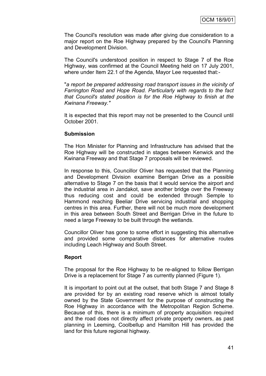The Council's resolution was made after giving due consideration to a major report on the Roe Highway prepared by the Council's Planning and Development Division.

The Council's understood position in respect to Stage 7 of the Roe Highway, was confirmed at the Council Meeting held on 17 July 2001, where under Item 22.1 of the Agenda, Mayor Lee requested that:-

"*a report be prepared addressing road transport issues in the vicinity of Farrington Road and Hope Road. Particularly with regards to the fact that Council's stated position is for the Roe Highway to finish at the Kwinana Freeway."*

It is expected that this report may not be presented to the Council until October 2001.

#### **Submission**

The Hon Minister for Planning and Infrastructure has advised that the Roe Highway will be constructed in stages between Kenwick and the Kwinana Freeway and that Stage 7 proposals will be reviewed.

In response to this, Councillor Oliver has requested that the Planning and Development Division examine Berrigan Drive as a possible alternative to Stage 7 on the basis that it would service the airport and the industrial area in Jandakot, save another bridge over the Freeway thus reducing cost and could be extended through Semple to Hammond reaching Beeliar Drive servicing industrial and shopping centres in this area. Further, there will not be much more development in this area between South Street and Berrigan Drive in the future to need a large Freeway to be built through the wetlands.

Councillor Oliver has gone to some effort in suggesting this alternative and provided some comparative distances for alternative routes including Leach Highway and South Street.

### **Report**

The proposal for the Roe Highway to be re-aligned to follow Berrigan Drive is a replacement for Stage 7 as currently planned (Figure 1).

It is important to point out at the outset, that both Stage 7 and Stage 8 are provided for by an existing road reserve which is almost totally owned by the State Government for the purpose of constructing the Roe Highway in accordance with the Metropolitan Region Scheme. Because of this, there is a minimum of property acquisition required and the road does not directly affect private property owners, as past planning in Leeming, Coolbellup and Hamilton Hill has provided the land for this future regional highway.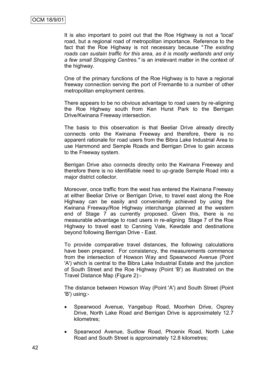It is also important to point out that the Roe Highway is not a 'local' road, but a regional road of metropolitan importance. Reference to the fact that the Roe Highway is not necessary because "*The existing roads can sustain traffic for this area, as it is mostly wetlands and only a few small Shopping Centres."* is an irrelevant matter in the context of the highway.

One of the primary functions of the Roe Highway is to have a regional freeway connection serving the port of Fremantle to a number of other metropolitan employment centres.

There appears to be no obvious advantage to road users by re-aligning the Roe Highway south from Ken Hurst Park to the Berrigan Drive/Kwinana Freeway intersection.

The basis to this observation is that Beeliar Drive already directly connects onto the Kwinana Freeway and therefore, there is no apparent rationale for road users from the Bibra Lake Industrial Area to use Hammond and Semple Roads and Berrigan Drive to gain access to the Freeway system.

Berrigan Drive also connects directly onto the Kwinana Freeway and therefore there is no identifiable need to up-grade Semple Road into a major district collector.

Moreover, once traffic from the west has entered the Kwinana Freeway at either Beeliar Drive or Berrigan Drive, to travel east along the Roe Highway can be easily and conveniently achieved by using the Kwinana Freeway/Roe Highway interchange planned at the western end of Stage 7 as currently proposed. Given this, there is no measurable advantage to road users in re-aligning Stage 7 of the Roe Highway to travel east to Canning Vale, Kewdale and destinations beyond following Berrigan Drive - East.

To provide comparative travel distances, the following calculations have been prepared. For consistency, the measurements commence from the intersection of Howson Way and Spearwood Avenue (Point 'A') which is central to the Bibra Lake Industrial Estate and the junction of South Street and the Roe Highway (Point 'B') as illustrated on the Travel Distance Map (Figure 2):-

The distance between Howson Way (Point 'A') and South Street (Point 'B') using:-

- Spearwood Avenue, Yangebup Road, Moorhen Drive, Osprey Drive, North Lake Road and Berrigan Drive is approximately 12.7 kilometres;
- Spearwood Avenue, Sudlow Road, Phoenix Road, North Lake Road and South Street is approximately 12.8 kilometres;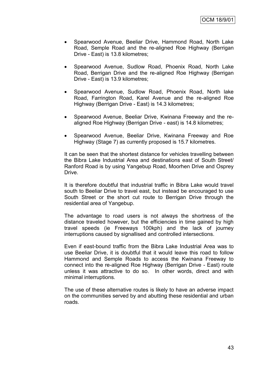- Spearwood Avenue, Beeliar Drive, Hammond Road, North Lake Road, Semple Road and the re-aligned Roe Highway (Berrigan Drive - East) is 13.8 kilometres;
- Spearwood Avenue, Sudlow Road, Phoenix Road, North Lake Road, Berrigan Drive and the re-aligned Roe Highway (Berrigan Drive - East) is 13.9 kilometres;
- Spearwood Avenue, Sudlow Road, Phoenix Road, North lake Road, Farrington Road, Karel Avenue and the re-aligned Roe Highway (Berrigan Drive - East) is 14.3 kilometres;
- Spearwood Avenue, Beeliar Drive, Kwinana Freeway and the realigned Roe Highway (Berrigan Drive - east) is 14.8 kilometres;
- Spearwood Avenue, Beeliar Drive, Kwinana Freeway and Roe Highway (Stage 7) as currently proposed is 15.7 kilometres.

It can be seen that the shortest distance for vehicles travelling between the Bibra Lake Industrial Area and destinations east of South Street/ Ranford Road is by using Yangebup Road, Moorhen Drive and Osprey Drive.

It is therefore doubtful that industrial traffic in Bibra Lake would travel south to Beeliar Drive to travel east, but instead be encouraged to use South Street or the short cut route to Berrigan Drive through the residential area of Yangebup.

The advantage to road users is not always the shortness of the distance traveled however, but the efficiencies in time gained by high travel speeds (ie Freeways 100kph) and the lack of journey interruptions caused by signallised and controlled intersections.

Even if east-bound traffic from the Bibra Lake Industrial Area was to use Beeliar Drive, it is doubtful that it would leave this road to follow Hammond and Semple Roads to access the Kwinana Freeway to connect into the re-aligned Roe Highway (Berrigan Drive - East) route unless it was attractive to do so. In other words, direct and with minimal interruptions.

The use of these alternative routes is likely to have an adverse impact on the communities served by and abutting these residential and urban roads.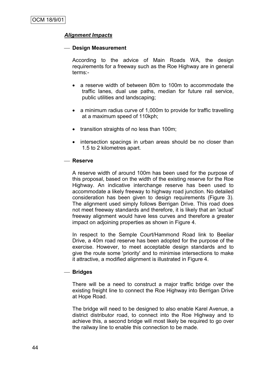## *Alignment Impacts*

#### **Design Measurement**

According to the advice of Main Roads WA, the design requirements for a freeway such as the Roe Highway are in general terms:-

- a reserve width of between 80m to 100m to accommodate the traffic lanes, dual use paths, median for future rail service, public utilities and landscaping;
- a minimum radius curve of 1,000m to provide for traffic travelling at a maximum speed of 110kph;
- transition straights of no less than 100m;
- intersection spacings in urban areas should be no closer than 1.5 to 2 kilometres apart.

#### **Reserve**

A reserve width of around 100m has been used for the purpose of this proposal, based on the width of the existing reserve for the Roe Highway. An indicative interchange reserve has been used to accommodate a likely freeway to highway road junction. No detailed consideration has been given to design requirements (Figure 3). The alignment used simply follows Berrigan Drive. This road does not meet freeway standards and therefore, it is likely that an 'actual' freeway alignment would have less curves and therefore a greater impact on adjoining properties as shown in Figure 4.

In respect to the Semple Court/Hammond Road link to Beeliar Drive, a 40m road reserve has been adopted for the purpose of the exercise. However, to meet acceptable design standards and to give the route some 'priority' and to minimise intersections to make it attractive, a modified alignment is illustrated in Figure 4.

#### **Bridges**

There will be a need to construct a major traffic bridge over the existing freight line to connect the Roe Highway into Berrigan Drive at Hope Road.

The bridge will need to be designed to also enable Karel Avenue, a district distributor road, to connect into the Roe Highway and to achieve this, a second bridge will most likely be required to go over the railway line to enable this connection to be made.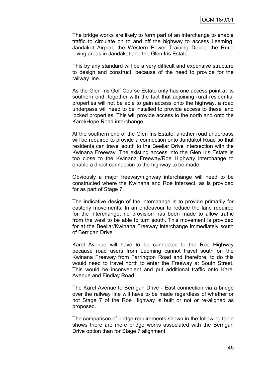The bridge works are likely to form part of an interchange to enable traffic to circulate on to and off the highway to access Leeming, Jandakot Airport, the Western Power Training Depot, the Rural Living areas in Jandakot and the Glen Iris Estate.

This by any standard will be a very difficult and expensive structure to design and construct, because of the need to provide for the railway line.

As the Glen Iris Golf Course Estate only has one access point at its southern end, together with the fact that adjoining rural residential properties will not be able to gain access onto the highway, a road underpass will need to be installed to provide access to these land locked properties. This will provide access to the north and onto the Karel/Hope Road interchange.

At the southern end of the Glen Iris Estate, another road underpass will be required to provide a connection onto Jandakot Road so that residents can travel south to the Beeliar Drive intersection with the Kwinana Freeway. The existing access into the Glen Iris Estate is too close to the Kwinana Freeway/Roe Highway interchange to enable a direct connection to the highway to be made.

Obviously a major freeway/highway interchange will need to be constructed where the Kwinana and Roe intersect, as is provided for as part of Stage 7.

The indicative design of the interchange is to provide primarily for easterly movements. In an endeavour to reduce the land required for the interchange, no provision has been made to allow traffic from the west to be able to turn south. This movement is provided for at the Beeliar/Kwinana Freeway interchange immediately south of Berrigan Drive.

Karel Avenue will have to be connected to the Roe Highway because road users from Leeming cannot travel south on the Kwinana Freeway from Farrington Road and therefore, to do this would need to travel north to enter the Freeway at South Street. This would be inconvenient and put additional traffic onto Karel Avenue and Findlay Road.

The Karel Avenue to Berrigan Drive - East connection via a bridge over the railway line will have to be made regardless of whether or not Stage 7 of the Roe Highway is built or not or re-aligned as proposed.

The comparison of bridge requirements shown in the following table shows there are more bridge works associated with the Berrigan Drive option than for Stage 7 alignment.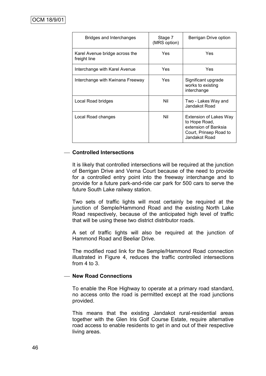| Bridges and Interchanges                       | Stage 7<br>(MRS option) | Berrigan Drive option                                                                                      |
|------------------------------------------------|-------------------------|------------------------------------------------------------------------------------------------------------|
| Karel Avenue bridge across the<br>freight line | Yes                     | Yes                                                                                                        |
| Interchange with Karel Avenue                  | Yes                     | Yes                                                                                                        |
| Interchange with Kwinana Freeway               | Yes                     | Significant upgrade<br>works to existing<br>interchange                                                    |
| Local Road bridges                             | Nil                     | Two - Lakes Way and<br>Jandakot Road                                                                       |
| Local Road changes                             | Nil                     | Extension of Lakes Way<br>to Hope Road,<br>extension of Banksia<br>Court, Prinsep Road to<br>Jandakot Road |

### **Controlled Intersections**

It is likely that controlled intersections will be required at the junction of Berrigan Drive and Verna Court because of the need to provide for a controlled entry point into the freeway interchange and to provide for a future park-and-ride car park for 500 cars to serve the future South Lake railway station.

Two sets of traffic lights will most certainly be required at the junction of Semple/Hammond Road and the existing North Lake Road respectively, because of the anticipated high level of traffic that will be using these two district distributor roads.

A set of traffic lights will also be required at the junction of Hammond Road and Beeliar Drive.

The modified road link for the Semple/Hammond Road connection illustrated in Figure 4, reduces the traffic controlled intersections from  $4$  to  $3$ 

#### **New Road Connections**

To enable the Roe Highway to operate at a primary road standard, no access onto the road is permitted except at the road junctions provided.

This means that the existing Jandakot rural-residential areas together with the Glen Iris Golf Course Estate, require alternative road access to enable residents to get in and out of their respective living areas.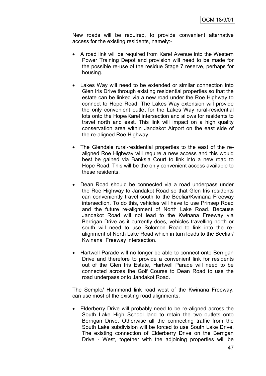New roads will be required, to provide convenient alternative access for the existing residents, namely:-

- A road link will be required from Karel Avenue into the Western Power Training Depot and provision will need to be made for the possible re-use of the residue Stage 7 reserve, perhaps for housing.
- Lakes Way will need to be extended or similar connection into Glen Iris Drive through existing residential properties so that the estate can be linked via a new road under the Roe Highway to connect to Hope Road. The Lakes Way extension will provide the only convenient outlet for the Lakes Way rural-residential lots onto the Hope/Karel intersection and allows for residents to travel north and east. This link will impact on a high quality conservation area within Jandakot Airport on the east side of the re-aligned Roe Highway.
- The Glendale rural-residential properties to the east of the realigned Roe Highway will require a new access and this would best be gained via Banksia Court to link into a new road to Hope Road. This will be the only convenient access available to these residents.
- Dean Road should be connected via a road underpass under the Roe Highway to Jandakot Road so that Glen Iris residents can conveniently travel south to the Beeliar/Kwinana Freeway intersection. To do this, vehicles will have to use Prinsep Road and the future re-alignment of North Lake Road. Because Jandakot Road will not lead to the Kwinana Freeway via Berrigan Drive as it currently does, vehicles travelling north or south will need to use Solomon Road to link into the realignment of North Lake Road which in turn leads to the Beeliar/ Kwinana Freeway intersection.
- Hartwell Parade will no longer be able to connect onto Berrigan Drive and therefore to provide a convenient link for residents out of the Glen Iris Estate, Hartwell Parade will need to be connected across the Golf Course to Dean Road to use the road underpass onto Jandakot Road.

The Semple/ Hammond link road west of the Kwinana Freeway, can use most of the existing road alignments.

 Elderberry Drive will probably need to be re-aligned across the South Lake High School land to retain the two outlets onto Berrigan Drive. Otherwise all the connecting traffic from the South Lake subdivision will be forced to use South Lake Drive. The existing connection of Elderberry Drive on the Berrigan Drive - West, together with the adjoining properties will be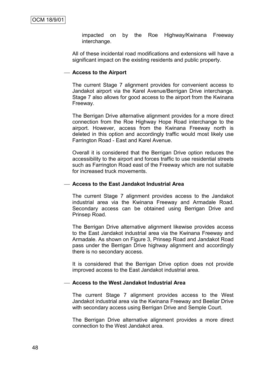impacted on by the Roe Highway/Kwinana Freeway interchange.

All of these incidental road modifications and extensions will have a significant impact on the existing residents and public property.

#### **Access to the Airport**

The current Stage 7 alignment provides for convenient access to Jandakot airport via the Karel Avenue/Berrigan Drive interchange. Stage 7 also allows for good access to the airport from the Kwinana Freeway.

The Berrigan Drive alternative alignment provides for a more direct connection from the Roe Highway Hope Road interchange to the airport. However, access from the Kwinana Freeway north is deleted in this option and accordingly traffic would most likely use Farrington Road - East and Karel Avenue.

Overall it is considered that the Berrigan Drive option reduces the accessibility to the airport and forces traffic to use residential streets such as Farrington Road east of the Freeway which are not suitable for increased truck movements.

#### **Access to the East Jandakot Industrial Area**

The current Stage 7 alignment provides access to the Jandakot industrial area via the Kwinana Freeway and Armadale Road. Secondary access can be obtained using Berrigan Drive and Prinsep Road.

The Berrigan Drive alternative alignment likewise provides access to the East Jandakot industrial area via the Kwinana Freeway and Armadale. As shown on Figure 3, Prinsep Road and Jandakot Road pass under the Berrigan Drive highway alignment and accordingly there is no secondary access.

It is considered that the Berrigan Drive option does not provide improved access to the East Jandakot industrial area.

#### **Access to the West Jandakot Industrial Area**

The current Stage 7 alignment provides access to the West Jandakot industrial area via the Kwinana Freeway and Beeliar Drive with secondary access using Berrigan Drive and Semple Court.

The Berrigan Drive alternative alignment provides a more direct connection to the West Jandakot area.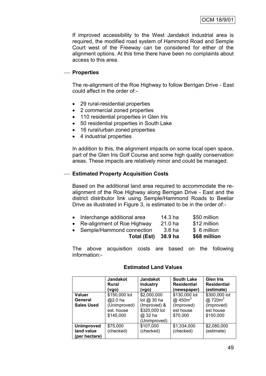If improved accessibility to the West Jandakot industrial area is required, the modified road system of Hammond Road and Semple Court west of the Freeway can be considered for either of the alignment options. At this time there have been no complaints about access to this area.

## **Properties**

The re-alignment of the Roe Highway to follow Berrigan Drive - East could affect in the order of:-

- 29 rural-residential properties
- 2 commercial zoned properties
- 110 residential properties in Glen Iris
- 50 residential properties in South Lake
- 16 rural/urban zoned properties
- 4 industrial properties

In addition to this, the alignment impacts on some local open space, part of the Glen Iris Golf Course and some high quality conservation areas. These impacts are relatively minor and could be managed.

## **Estimated Property Acquisition Costs**

Based on the additional land area required to accommodate the realignment of the Roe Highway along Berrigan Drive - East and the district distributor link using Semple/Hammond Roads to Beeliar Drive as illustrated in Figure 3, is estimated to be in the order of:-

| Total (Est)                   | 38.9 ha | \$68 million |
|-------------------------------|---------|--------------|
| • Semple/Hammond connection   | 3.6 ha  | \$ 6 million |
| • Re-alignment of Roe Highway | 21.0 ha | \$12 million |
| • Interchange additional area | 14.3 ha | \$50 million |

The above acquisition costs are based on the following information:-

#### **Estimated Land Values**

|                             | <b>Jandakot</b><br>Rural<br>(vgo) | <b>Jandakot</b><br><b>Industry</b><br>(vgo) | <b>South Lake</b><br><b>Residential</b><br>(newspaper) | <b>Glen Iris</b><br><b>Residential</b><br>(estimate) |
|-----------------------------|-----------------------------------|---------------------------------------------|--------------------------------------------------------|------------------------------------------------------|
| <b>Valuer</b><br>General    | \$150,000 lot                     | \$2,000,000<br>lot $@30$ ha                 | \$130,000 lot<br>@ $450m^2$                            | \$300,000 lot<br>@ 720m <sup>2</sup>                 |
| <b>Sales Used</b>           | @2.0 ha<br>(Unimproved)           | (Improved) &                                | (Improved)                                             | (Improved)                                           |
|                             | est. house                        | \$320,000 lot                               | est house                                              | est house                                            |
|                             | \$145,000                         | @ 32 ha<br>(Unimproved)                     | \$70,000                                               | \$150,000                                            |
| <b>Unimproved</b>           | \$75,000                          | \$107,000                                   | \$1,334,000                                            | \$2,080,000                                          |
| land value<br>(per hectare) | (checked)                         | (checked)                                   | (checked)                                              | (estimate)                                           |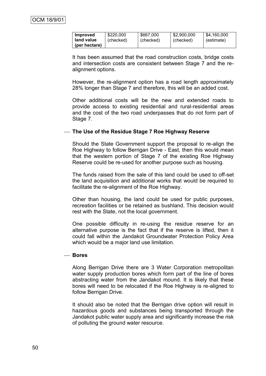| Improved      | \$220,000 | \$667,000 | \$2,900,000 | \$4.160.000 |
|---------------|-----------|-----------|-------------|-------------|
| land value    | (checked) | (checked) | (checked)   | (estimate)  |
| (per hectare) |           |           |             |             |

It has been assumed that the road construction costs, bridge costs and intersection costs are consistent between Stage 7 and the realignment options.

However, the re-alignment option has a road length approximately 28% longer than Stage 7 and therefore, this will be an added cost.

Other additional costs will be the new and extended roads to provide access to existing residential and rural-residential areas and the cost of the two road underpasses that do not form part of Stage 7.

#### **The Use of the Residue Stage 7 Roe Highway Reserve**

Should the State Government support the proposal to re-align the Roe Highway to follow Berrigan Drive - East, then this would mean that the western portion of Stage 7 of the existing Roe Highway Reserve could be re-used for another purpose such as housing.

The funds raised from the sale of this land could be used to off-set the land acquisition and additional works that would be required to facilitate the re-alignment of the Roe Highway.

Other than housing, the land could be used for public purposes, recreation facilities or be retained as bushland. This decision would rest with the State, not the local government.

One possible difficulty in re-using the residue reserve for an alternative purpose is the fact that if the reserve is lifted, then it could fall within the Jandakot Groundwater Protection Policy Area which would be a major land use limitation.

#### **Bores**

Along Berrigan Drive there are 3 Water Corporation metropolitan water supply production bores which form part of the line of bores abstracting water from the Jandakot mound. It is likely that these bores will need to be relocated if the Roe Highway is re-aligned to follow Berrigan Drive.

It should also be noted that the Berrigan drive option will result in hazardous goods and substances being transported through the Jandakot public water supply area and significantly increase the risk of polluting the ground water resource.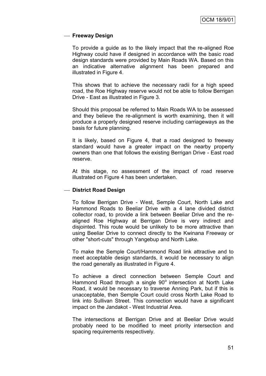### **Freeway Design**

To provide a guide as to the likely impact that the re-aligned Roe Highway could have if designed in accordance with the basic road design standards were provided by Main Roads WA. Based on this an indicative alternative alignment has been prepared and illustrated in Figure 4.

This shows that to achieve the necessary radii for a high speed road, the Roe Highway reserve would not be able to follow Berrigan Drive - East as illustrated in Figure 3.

Should this proposal be referred to Main Roads WA to be assessed and they believe the re-alignment is worth examining, then it will produce a properly designed reserve including carriageways as the basis for future planning.

It is likely, based on Figure 4, that a road designed to freeway standard would have a greater impact on the nearby property owners than one that follows the existing Berrigan Drive - East road reserve.

At this stage, no assessment of the impact of road reserve illustrated on Figure 4 has been undertaken.

#### **District Road Design**

To follow Berrigan Drive - West, Semple Court, North Lake and Hammond Roads to Beeliar Drive with a 4 lane divided district collector road, to provide a link between Beeliar Drive and the realigned Roe Highway at Berrigan Drive is very indirect and disjointed. This route would be unlikely to be more attractive than using Beeliar Drive to connect directly to the Kwinana Freeway or other "short-cuts" through Yangebup and North Lake.

To make the Semple Court/Hammond Road link attractive and to meet acceptable design standards, it would be necessary to align the road generally as illustrated in Figure 4.

To achieve a direct connection between Semple Court and Hammond Road through a single 90° intersection at North Lake Road, it would be necessary to traverse Anning Park, but if this is unacceptable, then Semple Court could cross North Lake Road to link into Sullivan Street. This connection would have a significant impact on the Jandakot - West Industrial Area.

The intersections at Berrigan Drive and at Beeliar Drive would probably need to be modified to meet priority intersection and spacing requirements respectively.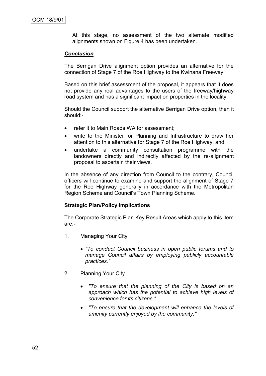At this stage, no assessment of the two alternate modified alignments shown on Figure 4 has been undertaken.

#### *Conclusion*

The Berrigan Drive alignment option provides an alternative for the connection of Stage 7 of the Roe Highway to the Kwinana Freeway.

Based on this brief assessment of the proposal, it appears that it does not provide any real advantages to the users of the freeway/highway road system and has a significant impact on properties in the locality.

Should the Council support the alternative Berrigan Drive option, then it should:-

- refer it to Main Roads WA for assessment;
- write to the Minister for Planning and Infrastructure to draw her attention to this alternative for Stage 7 of the Roe Highway; and
- undertake a community consultation programme with the landowners directly and indirectly affected by the re-alignment proposal to ascertain their views.

In the absence of any direction from Council to the contrary, Council officers will continue to examine and support the alignment of Stage 7 for the Roe Highway generally in accordance with the Metropolitan Region Scheme and Council's Town Planning Scheme.

#### **Strategic Plan/Policy Implications**

The Corporate Strategic Plan Key Result Areas which apply to this item are:-

- 1. Managing Your City
	- *"To conduct Council business in open public forums and to manage Council affairs by employing publicly accountable practices."*
- 2. Planning Your City
	- *"To ensure that the planning of the City is based on an approach which has the potential to achieve high levels of convenience for its citizens."*
	- *"To ensure that the development will enhance the levels of amenity currently enjoyed by the community."*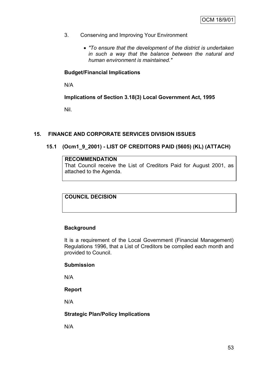- 3. Conserving and Improving Your Environment
	- *"To ensure that the development of the district is undertaken in such a way that the balance between the natural and human environment is maintained."*

## **Budget/Financial Implications**

N/A

**Implications of Section 3.18(3) Local Government Act, 1995**

Nil.

## **15. FINANCE AND CORPORATE SERVICES DIVISION ISSUES**

## **15.1 (Ocm1\_9\_2001) - LIST OF CREDITORS PAID (5605) (KL) (ATTACH)**

#### **RECOMMENDATION**

That Council receive the List of Creditors Paid for August 2001, as attached to the Agenda.

**COUNCIL DECISION**

### **Background**

It is a requirement of the Local Government (Financial Management) Regulations 1996, that a List of Creditors be compiled each month and provided to Council.

#### **Submission**

N/A

### **Report**

N/A

### **Strategic Plan/Policy Implications**

N/A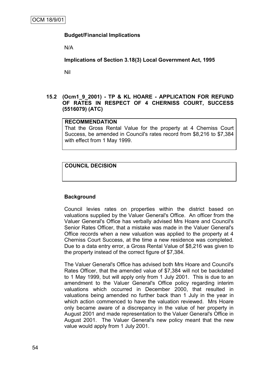## **Budget/Financial Implications**

N/A

**Implications of Section 3.18(3) Local Government Act, 1995**

Nil

### **15.2 (Ocm1\_9\_2001) - TP & KL HOARE - APPLICATION FOR REFUND OF RATES IN RESPECT OF 4 CHERNISS COURT, SUCCESS (5516079) (ATC)**

### **RECOMMENDATION**

That the Gross Rental Value for the property at 4 Cherniss Court Success, be amended in Council's rates record from \$8,216 to \$7,384 with effect from 1 May 1999.

## **COUNCIL DECISION**

### **Background**

Council levies rates on properties within the district based on valuations supplied by the Valuer General's Office. An officer from the Valuer General's Office has verbally advised Mrs Hoare and Council's Senior Rates Officer, that a mistake was made in the Valuer General's Office records when a new valuation was applied to the property at 4 Cherniss Court Success, at the time a new residence was completed. Due to a data entry error, a Gross Rental Value of \$8,216 was given to the property instead of the correct figure of \$7,384.

The Valuer General's Office has advised both Mrs Hoare and Council's Rates Officer, that the amended value of \$7,384 will not be backdated to 1 May 1999, but will apply only from 1 July 2001. This is due to an amendment to the Valuer General's Office policy regarding interim valuations which occurred in December 2000, that resulted in valuations being amended no further back than 1 July in the year in which action commenced to have the valuation reviewed. Mrs Hoare only became aware of a discrepancy in the value of her property in August 2001 and made representation to the Valuer General's Office in August 2001. The Valuer General's new policy meant that the new value would apply from 1 July 2001.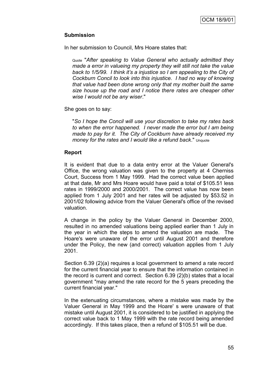## **Submission**

In her submission to Council, Mrs Hoare states that:

Quote "*After speaking to Value General who actually admitted they made a error in valueing my property they will still not take the value back to 1/5/99. I think it's a injustice so I am appealing to the City of Cockburn Concil to look into this injustice. I had no way of knowing that value had been done wrong only that my mother built the same size house up the road and I notice there rates are cheaper other wise I would not be any wiser*."

She goes on to say:

"*So I hope the Concil will use your discretion to take my rates back to when the error happened. I never made the error but I am being made to pay for it. The City of Cockburn have already received my money for the rates and I would like a refund back*." Unquote

### **Report**

It is evident that due to a data entry error at the Valuer General's Office, the wrong valuation was given to the property at 4 Cherniss Court, Success from 1 May 1999. Had the correct value been applied at that date, Mr and Mrs Hoare would have paid a total of \$105.51 less rates in 1999/2000 and 2000/2001. The correct value has now been applied from 1 July 2001 and her rates will be adjusted by \$53.52 in 2001/02 following advice from the Valuer General's office of the revised valuation.

A change in the policy by the Valuer General in December 2000, resulted in no amended valuations being applied earlier than 1 July in the year in which the steps to amend the valuation are made. The Hoare's were unaware of the error until August 2001 and therefore under the Policy, the new (and correct) valuation applies from 1 July 2001.

Section 6.39 (2)(a) requires a local government to amend a rate record for the current financial year to ensure that the information contained in the record is current and correct. Section 6.39 (2)(b) states that a local government "may amend the rate record for the 5 years preceding the current financial year."

In the extenuating circumstances, where a mistake was made by the Valuer General in May 1999 and the Hoare' s were unaware of that mistake until August 2001, it is considered to be justified in applying the correct value back to 1 May 1999 with the rate record being amended accordingly. If this takes place, then a refund of \$105.51 will be due.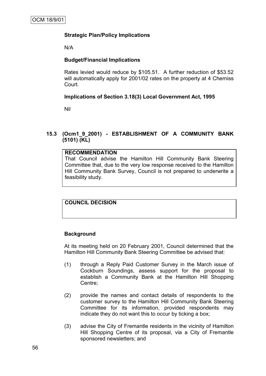## **Strategic Plan/Policy Implications**

N/A

## **Budget/Financial Implications**

Rates levied would reduce by \$105.51. A further reduction of \$53.52 will automatically apply for 2001/02 rates on the property at 4 Cherniss Court.

## **Implications of Section 3.18(3) Local Government Act, 1995**

Nil

## **15.3 (Ocm1\_9\_2001) - ESTABLISHMENT OF A COMMUNITY BANK (5101) (KL)**

### **RECOMMENDATION**

That Council advise the Hamilton Hill Community Bank Steering Committee that, due to the very low response received to the Hamilton Hill Community Bank Survey, Council is not prepared to underwrite a feasibility study.

## **COUNCIL DECISION**

### **Background**

At its meeting held on 20 February 2001, Council determined that the Hamilton Hill Community Bank Steering Committee be advised that:

- (1) through a Reply Paid Customer Survey in the March issue of Cockburn Soundings, assess support for the proposal to establish a Community Bank at the Hamilton Hill Shopping Centre;
- (2) provide the names and contact details of respondents to the customer survey to the Hamilton Hill Community Bank Steering Committee for its information, provided respondents may indicate they do not want this to occur by ticking a box;
- (3) advise the City of Fremantle residents in the vicinity of Hamilton Hill Shopping Centre of its proposal, via a City of Fremantle sponsored newsletters; and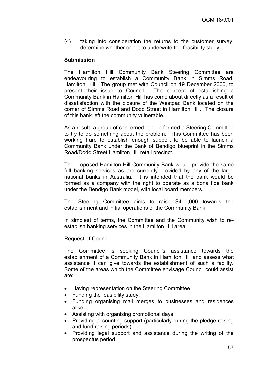(4) taking into consideration the returns to the customer survey, determine whether or not to underwrite the feasibility study.

### **Submission**

The Hamilton Hill Community Bank Steering Committee are endeavouring to establish a Community Bank in Simms Road, Hamilton Hill. The group met with Council on 19 December 2000, to present their issue to Council. The concept of establishing a present their issue to Council. Community Bank in Hamilton Hill has come about directly as a result of dissatisfaction with the closure of the Westpac Bank located on the corner of Simms Road and Dodd Street in Hamilton Hill. The closure of this bank left the community vulnerable.

As a result, a group of concerned people formed a Steering Committee to try to do something about the problem. This Committee has been working hard to establish enough support to be able to launch a Community Bank under the Bank of Bendigo blueprint in the Simms Road/Dodd Street Hamilton Hill retail precinct.

The proposed Hamilton Hill Community Bank would provide the same full banking services as are currently provided by any of the large national banks in Australia. It is intended that the bank would be formed as a company with the right to operate as a bona fide bank under the Bendigo Bank model, with local board members.

The Steering Committee aims to raise \$400,000 towards the establishment and initial operations of the Community Bank.

In simplest of terms, the Committee and the Community wish to reestablish banking services in the Hamilton Hill area.

### Request of Council

The Committee is seeking Council's assistance towards the establishment of a Community Bank in Hamilton Hill and assess what assistance it can give towards the establishment of such a facility. Some of the areas which the Committee envisage Council could assist are:

- Having representation on the Steering Committee.
- Funding the feasibility study.
- Funding organising mail merges to businesses and residences alike.
- Assisting with organising promotional days.
- Providing accounting support (particularly during the pledge raising and fund raising periods).
- Providing legal support and assistance during the writing of the prospectus period.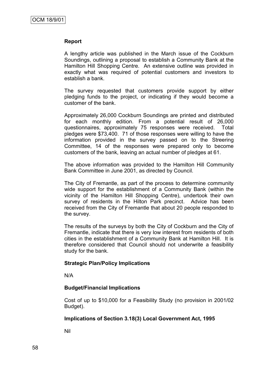#### **Report**

A lengthy article was published in the March issue of the Cockburn Soundings, outlining a proposal to establish a Community Bank at the Hamilton Hill Shopping Centre. An extensive outline was provided in exactly what was required of potential customers and investors to establish a bank.

The survey requested that customers provide support by either pledging funds to the project, or indicating if they would become a customer of the bank.

Approximately 26,000 Cockburn Soundings are printed and distributed for each monthly edition. From a potential result of 26,000 questionnaires, approximately 75 responses were received. Total pledges were \$73,400. 71 of those responses were willing to have the information provided in the survey passed on to the Streering Committee, 14 of the responses were prepared only to become customers of the bank, leaving an actual number of pledges at 61.

The above information was provided to the Hamilton Hill Community Bank Committee in June 2001, as directed by Council.

The City of Fremantle, as part of the process to determine community wide support for the establishment of a Community Bank (within the vicinity of the Hamilton Hill Shopping Centre), undertook their own survey of residents in the Hilton Park precinct. Advice has been received from the City of Fremantle that about 20 people responded to the survey.

The results of the surveys by both the City of Cockburn and the City of Fremantle, indicate that there is very low interest from residents of both cities in the establishment of a Community Bank at Hamilton Hill. It is therefore considered that Council should not underwrite a feasibility study for the bank.

#### **Strategic Plan/Policy Implications**

N/A

### **Budget/Financial Implications**

Cost of up to \$10,000 for a Feasibility Study (no provision in 2001/02 Budget).

#### **Implications of Section 3.18(3) Local Government Act, 1995**

Nil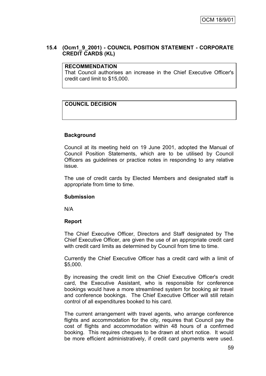## **15.4 (Ocm1\_9\_2001) - COUNCIL POSITION STATEMENT - CORPORATE CREDIT CARDS (KL)**

#### **RECOMMENDATION**

That Council authorises an increase in the Chief Executive Officer's credit card limit to \$15,000.

## **COUNCIL DECISION**

### **Background**

Council at its meeting held on 19 June 2001, adopted the Manual of Council Position Statements, which are to be utilised by Council Officers as guidelines or practice notes in responding to any relative issue.

The use of credit cards by Elected Members and designated staff is appropriate from time to time.

### **Submission**

N/A

### **Report**

The Chief Executive Officer, Directors and Staff designated by The Chief Executive Officer, are given the use of an appropriate credit card with credit card limits as determined by Council from time to time.

Currently the Chief Executive Officer has a credit card with a limit of \$5,000.

By increasing the credit limit on the Chief Executive Officer's credit card, the Executive Assistant, who is responsible for conference bookings would have a more streamlined system for booking air travel and conference bookings. The Chief Executive Officer will still retain control of all expenditures booked to his card.

The current arrangement with travel agents, who arrange conference flights and accommodation for the city, requires that Council pay the cost of flights and accommodation within 48 hours of a confirmed booking. This requires cheques to be drawn at short notice. It would be more efficient administratively, if credit card payments were used.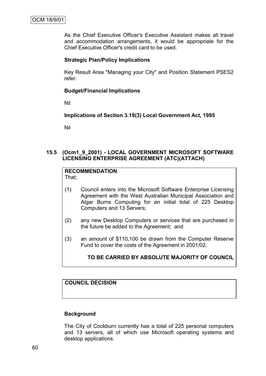As the Chief Executive Officer's Executive Assistant makes all travel and accommodation arrangements, it would be appropriate for the Chief Executive Officer's credit card to be used.

### **Strategic Plan/Policy Implications**

Key Result Area "Managing your City" and Position Statement PSES2 refer.

### **Budget/Financial Implications**

Nil

**Implications of Section 3.18(3) Local Government Act, 1995**

Nil

## **15.5 (Ocm1\_9\_2001) - LOCAL GOVERNMENT MICROSOFT SOFTWARE LICENSING ENTERPRISE AGREEMENT (ATC)(ATTACH)**

#### **RECOMMENDATION** That;

- (1) Council enters into the Microsoft Software Enterprise Licensing Agreement with the West Australian Municipal Association and Algar Burns Computing for an initial total of 225 Desktop Computers and 13 Servers;
- (2) any new Desktop Computers or services that are purchased in the future be added to the Agreement; and
- (3) an amount of \$110,100 be drawn from the Computer Reserve Fund to cover the costs of the Agreement in 2001/02.

## **TO BE CARRIED BY ABSOLUTE MAJORITY OF COUNCIL**

## **COUNCIL DECISION**

### **Background**

The City of Cockburn currently has a total of 225 personal computers and 13 servers, all of which use Microsoft operating systems and desktop applications.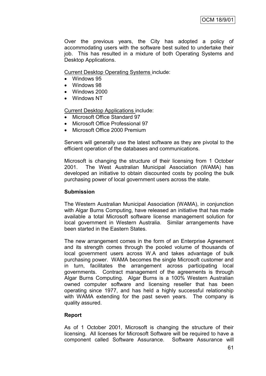Over the previous years, the City has adopted a policy of accommodating users with the software best suited to undertake their job. This has resulted in a mixture of both Operating Systems and Desktop Applications.

Current Desktop Operating Systems include:

- Windows 95
- Windows 98
- Windows 2000
- Windows NT

Current Desktop Applications include:

- Microsoft Office Standard 97
- Microsoft Office Professional 97
- Microsoft Office 2000 Premium

Servers will generally use the latest software as they are pivotal to the efficient operation of the databases and communications.

Microsoft is changing the structure of their licensing from 1 October 2001. The West Australian Municipal Association (WAMA) has developed an initiative to obtain discounted costs by pooling the bulk purchasing power of local government users across the state.

### **Submission**

The Western Australian Municipal Association (WAMA), in conjunction with Algar Burns Computing, have released an initiative that has made available a total Microsoft software license management solution for local government in Western Australia. Similar arrangements have been started in the Eastern States.

The new arrangement comes in the form of an Enterprise Agreement and its strength comes through the pooled volume of thousands of local government users across W.A and takes advantage of bulk purchasing power. WAMA becomes the single Microsoft customer and in turn, facilitates the arrangement across participating local governments. Contract management of the agreements is through Algar Burns Computing. Algar Burns is a 100% Western Australian owned computer software and licensing reseller that has been operating since 1977, and has held a highly successful relationship with WAMA extending for the past seven years. The company is quality assured.

## **Report**

As of 1 October 2001, Microsoft is changing the structure of their licensing. All licenses for Microsoft Software will be required to have a component called Software Assurance. Software Assurance will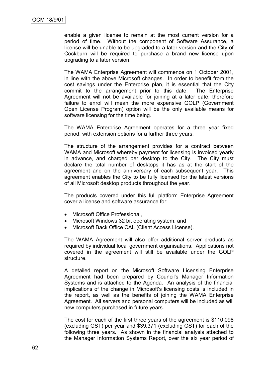enable a given license to remain at the most current version for a period of time. Without the component of Software Assurance, a license will be unable to be upgraded to a later version and the City of Cockburn will be required to purchase a brand new license upon upgrading to a later version.

The WAMA Enterprise Agreement will commence on 1 October 2001, in line with the above Microsoft changes. In order to benefit from the cost savings under the Enterprise plan, it is essential that the City commit to the arrangement prior to this date. The Enterprise Agreement will not be available for joining at a later date, therefore failure to enrol will mean the more expensive GOLP (Government Open License Program) option will be the only available means for software licensing for the time being.

The WAMA Enterprise Agreement operates for a three year fixed period, with extension options for a further three years.

The structure of the arrangement provides for a contract between WAMA and Microsoft whereby payment for licensing is invoiced yearly in advance, and charged per desktop to the City. The City must declare the total number of desktops it has as at the start of the agreement and on the anniversary of each subsequent year. This agreement enables the City to be fully licensed for the latest versions of all Microsoft desktop products throughout the year.

The products covered under this full platform Enterprise Agreement cover a license and software assurance for:

- Microsoft Office Professional,
- Microsoft Windows 32 bit operating system, and
- Microsoft Back Office CAL (Client Access License).

The WAMA Agreement will also offer additional server products as required by individual local government organisations. Applications not covered in the agreement will still be available under the GOLP structure.

A detailed report on the Microsoft Software Licensing Enterprise Agreement had been prepared by Council's Manager Information Systems and is attached to the Agenda. An analysis of the financial implications of the change in Microsoft's licensing costs is included in the report, as well as the benefits of joining the WAMA Enterprise Agreement. All servers and personal computers will be included as will new computers purchased in future years.

The cost for each of the first three years of the agreement is \$110,098 (excluding GST) per year and \$39,371 (excluding GST) for each of the following three years. As shown in the financial analysis attached to the Manager Information Systems Report, over the six year period of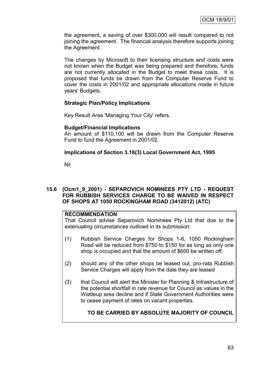the agreement, a saving of over \$300,000 will result compared to not joining the agreement. The financial analysis therefore supports joining the Agreement.

The changes by Microsoft to their licensing structure and costs were not known when the Budget was being prepared and therefore, funds are not currently allocated in the Budget to meet these costs. It is proposed that funds be drawn from the Computer Reserve Fund to cover the costs in 2001/02 and appropriate allocations made in future years' Budgets.

## **Strategic Plan/Policy Implications**

Key Result Area 'Managing Your City' refers.

### **Budget/Financial Implications**

An amount of \$110,100 will be drawn from the Computer Reserve Fund to fund the Agreement in 2001/02.

### **Implications of Section 3.18(3) Local Government Act, 1995**

Nil

### **15.6 (Ocm1\_9\_2001) - SEPAROVICH NOMINEES PTY LTD - REQUEST FOR RUBBISH SERVICES CHARGE TO BE WAIVED IN RESPECT OF SHOPS AT 1050 ROCKINGHAM ROAD (3412012) (ATC)**

### **RECOMMENDATION**

That Council advise Separovich Nominees Pty Ltd that due to the extenuating circumstances outlined in its submission:

- (1) Rubbish Service Charges for Shops 1-6, 1050 Rockingham Road will be reduced from \$750 to \$150 for as long as only one shop is occupied and that the amount of \$600 be written off;
- (2) should any of the other shops be leased out, pro-rata Rubbish Service Charges will apply from the date they are leased
- (3) that Council will alert the Minister for Planning & Infrastructure of the potential shortfall in rate revenue for Council as values in the Wattleup area decline and if State Government Authorities were to cease payment of rates on vacant properties.

## **TO BE CARRIED BY ABSOLUTE MAJORITY OF COUNCIL**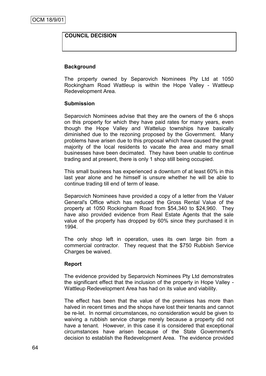## **COUNCIL DECISION**

### **Background**

The property owned by Separovich Nominees Pty Ltd at 1050 Rockingham Road Wattleup is within the Hope Valley - Wattleup Redevelopment Area.

#### **Submission**

Separovich Nominees advise that they are the owners of the 6 shops on this property for which they have paid rates for many years, even though the Hope Valley and Wattelup townships have basically diminished due to the rezoning proposed by the Government. Many problems have arisen due to this proposal which have caused the great majority of the local residents to vacate the area and many small businesses have been decimated. They have been unable to continue trading and at present, there is only 1 shop still being occupied.

This small business has experienced a downturn of at least 60% in this last year alone and he himself is unsure whether he will be able to continue trading till end of term of lease.

Separovich Nominees have provided a copy of a letter from the Valuer General's Office which has reduced the Gross Rental Value of the property at 1050 Rockingham Road from \$54,340 to \$24,960. They have also provided evidence from Real Estate Agents that the sale value of the property has dropped by 60% since they purchased it in 1994.

The only shop left in operation, uses its own large bin from a commercial contractor. They request that the \$750 Rubbish Service Charges be waived.

### **Report**

The evidence provided by Separovich Nominees Pty Ltd demonstrates the significant effect that the inclusion of the property in Hope Valley - Wattleup Redevelopment Area has had on its value and viability.

The effect has been that the value of the premises has more than halved in recent times and the shops have lost their tenants and cannot be re-let. In normal circumstances, no consideration would be given to waiving a rubbish service charge merely because a property did not have a tenant. However, in this case it is considered that exceptional circumstances have arisen because of the State Government's decision to establish the Redevelopment Area. The evidence provided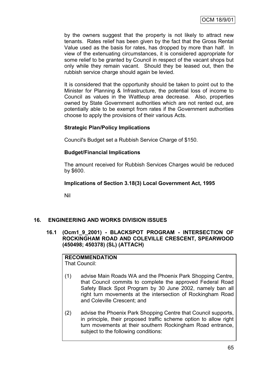by the owners suggest that the property is not likely to attract new tenants. Rates relief has been given by the fact that the Gross Rental Value used as the basis for rates, has dropped by more than half. In view of the extenuating circumstances, it is considered appropriate for some relief to be granted by Council in respect of the vacant shops but only while they remain vacant. Should they be leased out, then the rubbish service charge should again be levied.

It is considered that the opportunity should be taken to point out to the Minister for Planning & Infrastructure, the potential loss of income to Council as values in the Wattleup area decrease. Also, properties owned by State Government authorities which are not rented out, are potentially able to be exempt from rates if the Government authorities choose to apply the provisions of their various Acts.

## **Strategic Plan/Policy Implications**

Council's Budget set a Rubbish Service Charge of \$150.

### **Budget/Financial Implications**

The amount received for Rubbish Services Charges would be reduced by \$600.

### **Implications of Section 3.18(3) Local Government Act, 1995**

Nil

## **16. ENGINEERING AND WORKS DIVISION ISSUES**

## **16.1 (Ocm1\_9\_2001) - BLACKSPOT PROGRAM - INTERSECTION OF ROCKINGHAM ROAD AND COLEVILLE CRESCENT, SPEARWOOD (450498; 450378) (SL) (ATTACH)**

## **RECOMMENDATION**

That Council:

- (1) advise Main Roads WA and the Phoenix Park Shopping Centre, that Council commits to complete the approved Federal Road Safety Black Spot Program by 30 June 2002, namely ban all right turn movements at the intersection of Rockingham Road and Coleville Crescent; and
- (2) advise the Phoenix Park Shopping Centre that Council supports, in principle, their proposed traffic scheme option to allow right turn movements at their southern Rockingham Road entrance, subject to the following conditions: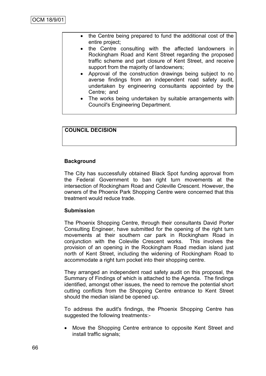- the Centre being prepared to fund the additional cost of the entire project;
- the Centre consulting with the affected landowners in Rockingham Road and Kent Street regarding the proposed traffic scheme and part closure of Kent Street, and receive support from the majority of landowners;
- Approval of the construction drawings being subject to no averse findings from an independent road safety audit, undertaken by engineering consultants appointed by the Centre; and
- The works being undertaken by suitable arrangements with Council's Engineering Department.

## **COUNCIL DECISION**

### **Background**

The City has successfully obtained Black Spot funding approval from the Federal Government to ban right turn movements at the intersection of Rockingham Road and Coleville Crescent. However, the owners of the Phoenix Park Shopping Centre were concerned that this treatment would reduce trade.

### **Submission**

The Phoenix Shopping Centre, through their consultants David Porter Consulting Engineer, have submitted for the opening of the right turn movements at their southern car park in Rockingham Road in conjunction with the Coleville Crescent works. This involves the provision of an opening in the Rockingham Road median island just north of Kent Street, including the widening of Rockingham Road to accommodate a right turn pocket into their shopping centre.

They arranged an independent road safety audit on this proposal, the Summary of Findings of which is attached to the Agenda. The findings identified, amongst other issues, the need to remove the potential short cutting conflicts from the Shopping Centre entrance to Kent Street should the median island be opened up.

To address the audit's findings, the Phoenix Shopping Centre has suggested the following treatments:-

• Move the Shopping Centre entrance to opposite Kent Street and install traffic signals;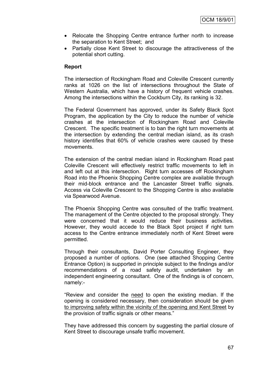- Relocate the Shopping Centre entrance further north to increase the separation to Kent Street; and
- Partially close Kent Street to discourage the attractiveness of the potential short cutting.

## **Report**

The intersection of Rockingham Road and Coleville Crescent currently ranks at 1026 on the list of intersections throughout the State of Western Australia, which have a history of frequent vehicle crashes. Among the intersections within the Cockburn City, its ranking is 32.

The Federal Government has approved, under its Safety Black Spot Program, the application by the City to reduce the number of vehicle crashes at the intersection of Rockingham Road and Coleville Crescent. The specific treatment is to ban the right turn movements at the intersection by extending the central median island, as its crash history identifies that 60% of vehicle crashes were caused by these movements.

The extension of the central median island in Rockingham Road past Coleville Crescent will effectively restrict traffic movements to left in and left out at this intersection. Right turn accesses off Rockingham Road into the Phoenix Shopping Centre complex are available through their mid-block entrance and the Lancaster Street traffic signals. Access via Coleville Crescent to the Shopping Centre is also available via Spearwood Avenue.

The Phoenix Shopping Centre was consulted of the traffic treatment. The management of the Centre objected to the proposal strongly. They were concerned that it would reduce their business activities. However, they would accede to the Black Spot project if right turn access to the Centre entrance immediately north of Kent Street were permitted.

Through their consultants, David Porter Consulting Engineer, they proposed a number of options. One (see attached Shopping Centre Entrance Option) is supported in principle subject to the findings and/or recommendations of a road safety audit, undertaken by an independent engineering consultant. One of the findings is of concern, namely:-

"Review and consider the need to open the existing median. If the opening is considered necessary, then consideration should be given to improving safety within the vicinity of the opening and Kent Street by the provision of traffic signals or other means."

They have addressed this concern by suggesting the partial closure of Kent Street to discourage unsafe traffic movement.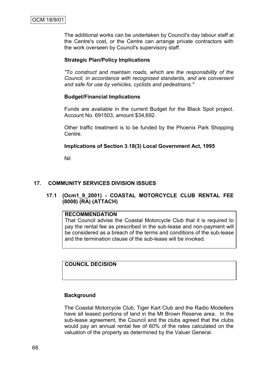The additional works can be undertaken by Council's day labour staff at the Centre's cost, or the Centre can arrange private contractors with the work overseen by Council's supervisory staff.

# **Strategic Plan/Policy Implications**

*"To construct and maintain roads, which are the responsibility of the Council, in accordance with recognised standards, and are convenient and safe for use by vehicles, cyclists and pedestrians."*

# **Budget/Financial Implications**

Funds are available in the current Budget for the Black Spot project. Account No. 691503, amount \$34,692.

Other traffic treatment is to be funded by the Phoenix Park Shopping Centre.

# **Implications of Section 3.18(3) Local Government Act, 1995**

Nil

# **17. COMMUNITY SERVICES DIVISION ISSUES**

**17.1 (Ocm1\_9\_2001) - COASTAL MOTORCYCLE CLUB RENTAL FEE (8008) (RA) (ATTACH)**

### **RECOMMENDATION**

That Council advise the Coastal Motorcycle Club that it is required to pay the rental fee as prescribed in the sub-lease and non-payment will be considered as a breach of the terms and conditions of the sub-lease and the termination clause of the sub-lease will be invoked.

**COUNCIL DECISION**

# **Background**

The Coastal Motorcycle Club, Tiger Kart Club and the Radio Modellers have all leased portions of land in the Mt Brown Reserve area. In the sub-lease agreement, the Council and the clubs agreed that the clubs would pay an annual rental fee of 60% of the rates calculated on the valuation of the property as determined by the Valuer General.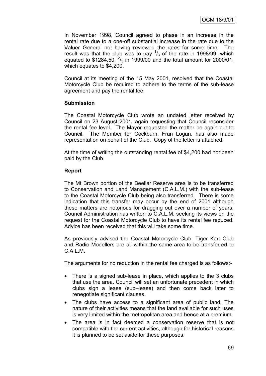In November 1998, Council agreed to phase in an increase in the rental rate due to a one-off substantial increase in the rate due to the Valuer General not having reviewed the rates for some time. The result was that the club was to pay  $\frac{1}{3}$  of the rate in 1998/99, which equated to \$1284.50,  $\frac{2}{3}$  in 1999/00 and the total amount for 2000/01, which equates to \$4,200.

Council at its meeting of the 15 May 2001, resolved that the Coastal Motorcycle Club be required to adhere to the terms of the sub-lease agreement and pay the rental fee.

# **Submission**

The Coastal Motorcycle Club wrote an undated letter received by Council on 23 August 2001, again requesting that Council reconsider the rental fee level. The Mayor requested the matter be again put to Council. The Member for Cockburn, Fran Logan, has also made representation on behalf of the Club. Copy of the letter is attached.

At the time of writing the outstanding rental fee of \$4,200 had not been paid by the Club.

# **Report**

The Mt Brown portion of the Beeliar Reserve area is to be transferred to Conservation and Land Management (C.A.L.M.) with the sub-lease to the Coastal Motorcycle Club being also transferred. There is some indication that this transfer may occur by the end of 2001 although these matters are notorious for dragging out over a number of years. Council Administration has written to C.A.L.M. seeking its views on the request for the Coastal Motorcycle Club to have its rental fee reduced. Advice has been received that this will take some time.

As previously advised the Coastal Motorcycle Club, Tiger Kart Club and Radio Modellers are all within the same area to be transferred to C.A.L.M.

The arguments for no reduction in the rental fee charged is as follows:-

- There is a signed sub-lease in place, which applies to the 3 clubs that use the area. Council will set an unfortunate precedent in which clubs sign a lease (sub–lease) and then come back later to renegotiate significant clauses.
- The clubs have access to a significant area of public land. The nature of their activities means that the land available for such uses is very limited within the metropolitan area and hence at a premium.
- The area is in fact deemed a conservation reserve that is not compatible with the current activities, although for historical reasons it is planned to be set aside for these purposes.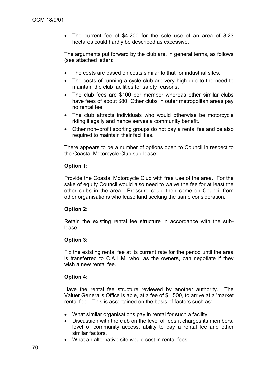• The current fee of \$4,200 for the sole use of an area of 8.23 hectares could hardly be described as excessive.

The arguments put forward by the club are, in general terms, as follows (see attached letter):

- The costs are based on costs similar to that for industrial sites.
- The costs of running a cycle club are very high due to the need to maintain the club facilities for safety reasons.
- The club fees are \$100 per member whereas other similar clubs have fees of about \$80. Other clubs in outer metropolitan areas pay no rental fee.
- The club attracts individuals who would otherwise be motorcycle riding illegally and hence serves a community benefit.
- Other non–profit sporting groups do not pay a rental fee and be also required to maintain their facilities.

There appears to be a number of options open to Council in respect to the Coastal Motorcycle Club sub-lease:

# **Option 1:**

Provide the Coastal Motorcycle Club with free use of the area. For the sake of equity Council would also need to waive the fee for at least the other clubs in the area. Pressure could then come on Council from other organisations who lease land seeking the same consideration.

# **Option 2:**

Retain the existing rental fee structure in accordance with the sublease.

# **Option 3:**

Fix the existing rental fee at its current rate for the period until the area is transferred to C.A.L.M. who, as the owners, can negotiate if they wish a new rental fee.

# **Option 4:**

Have the rental fee structure reviewed by another authority. The Valuer General's Office is able, at a fee of \$1,500, to arrive at a 'market rental fee'. This is ascertained on the basis of factors such as:-

- What similar organisations pay in rental for such a facility.
- Discussion with the club on the level of fees it charges its members, level of community access, ability to pay a rental fee and other similar factors.
- What an alternative site would cost in rental fees.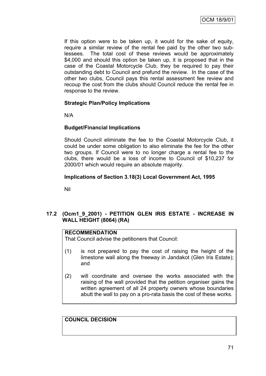If this option were to be taken up, it would for the sake of equity, require a similar review of the rental fee paid by the other two sublessees. The total cost of these reviews would be approximately \$4,000 and should this option be taken up, it is proposed that in the case of the Coastal Motorcycle Club, they be required to pay their outstanding debt to Council and prefund the review. In the case of the other two clubs, Council pays this rental assessment fee review and recoup the cost from the clubs should Council reduce the rental fee in response to the review.

# **Strategic Plan/Policy Implications**

N/A

# **Budget/Financial Implications**

Should Council eliminate the fee to the Coastal Motorcycle Club, it could be under some obligation to also eliminate the fee for the other two groups. If Council were to no longer charge a rental fee to the clubs, there would be a loss of income to Council of \$10,237 for 2000/01 which would require an absolute majority.

# **Implications of Section 3.18(3) Local Government Act, 1995**

Nil

# **17.2 (Ocm1\_9\_2001) - PETITION GLEN IRIS ESTATE - INCREASE IN WALL HEIGHT (8064) (RA)**

# **RECOMMENDATION**

That Council advise the petitioners that Council:

- (1) is not prepared to pay the cost of raising the height of the limestone wall along the freeway in Jandakot (Glen Iris Estate); and
- (2) will coordinate and oversee the works associated with the raising of the wall provided that the petition organiser gains the written agreement of all 24 property owners whose boundaries abutt the wall to pay on a pro-rata basis the cost of these works.

**COUNCIL DECISION**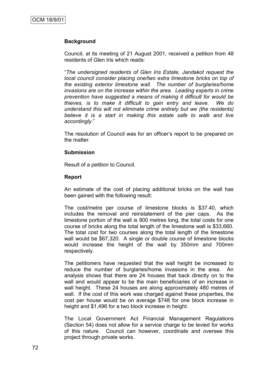# **Background**

Council, at its meeting of 21 August 2001, received a petition from 48 residents of Glen Iris which reads:

"*The undersigned residents of Glen Iris Estate, Jandakot request the local council consider placing one/two extra limestone bricks on top of the existing exterior limestone wall. The number of burglaries/home invasions are on the increase within the area. Leading experts in crime prevention have suggested a means of making it difficult for would be thieves, is to make it difficult to gain entry and leave. We do understand this will not eliminate crime entirely but we (the residents) believe it is a start in making this estate safe to walk and live accordingly*."

The resolution of Council was for an officer"s report to be prepared on the matter.

### **Submission**

Result of a petition to Council.

### **Report**

An estimate of the cost of placing additional bricks on the wall has been gained with the following result:

The cost/metre per course of limestone blocks is \$37.40, which includes the removal and reinstatement of the pier caps. As the limestone portion of the wall is 900 metres long, the total costs for one course of bricks along the total length of the limestone wall is \$33,660. The total cost for two courses along the total length of the limestone wall would be \$67,320. A single or double course of limestone blocks would increase the height of the wall by 350mm and 700mm respectively.

The petitioners have requested that the wall height be increased to reduce the number of burglaries/home invasions in the area. An analysis shows that there are 24 houses that back directly on to the wall and would appear to be the main beneficiaries of an increase in wall height. These 24 houses are along approximately 480 metres of wall. If the cost of this work was charged against these properties, the cost per house would be on average \$748 for one block increase in height and \$1,496 for a two block increase in height.

The Local Government Act Financial Management Regulations (Section 54) does not allow for a service charge to be levied for works of this nature. Council can however, coordinate and oversee this project through private works.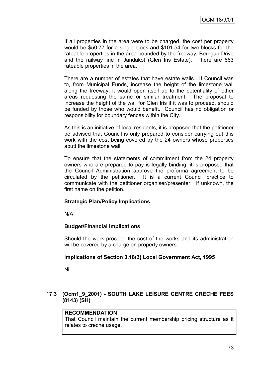If all properties in the area were to be charged, the cost per property would be \$50.77 for a single block and \$101.54 for two blocks for the rateable properties in the area bounded by the freeway, Berrigan Drive and the railway line in Jandakot (Glen Iris Estate). There are 663 rateable properties in the area.

There are a number of estates that have estate walls. If Council was to, from Municipal Funds, increase the height of the limestone wall along the freeway, it would open itself up to the potentiality of other areas requesting the same or similar treatment. The proposal to increase the height of the wall for Glen Iris if it was to proceed, should be funded by those who would benefit. Council has no obligation or responsibility for boundary fences within the City.

As this is an initiative of local residents, it is proposed that the petitioner be advised that Council is only prepared to consider carrying out this work with the cost being covered by the 24 owners whose properties abutt the limestone wall.

To ensure that the statements of commitment from the 24 property owners who are prepared to pay is legally binding, it is proposed that the Council Administration approve the proforma agreement to be circulated by the petitioner. It is a current Council practice to communicate with the petitioner organiser/presenter. If unknown, the first name on the petition.

# **Strategic Plan/Policy Implications**

N/A

# **Budget/Financial Implications**

Should the work proceed the cost of the works and its administration will be covered by a charge on property owners.

# **Implications of Section 3.18(3) Local Government Act, 1995**

Nil

# **17.3 (Ocm1\_9\_2001) - SOUTH LAKE LEISURE CENTRE CRECHE FEES (8143) (SH)**

# **RECOMMENDATION**

That Council maintain the current membership pricing structure as it relates to creche usage.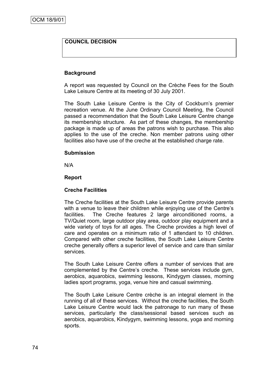# **COUNCIL DECISION**

# **Background**

A report was requested by Council on the Crèche Fees for the South Lake Leisure Centre at its meeting of 30 July 2001.

The South Lake Leisure Centre is the City of Cockburn's premier recreation venue. At the June Ordinary Council Meeting, the Council passed a recommendation that the South Lake Leisure Centre change its membership structure. As part of these changes, the membership package is made up of areas the patrons wish to purchase. This also applies to the use of the creche. Non member patrons using other facilities also have use of the creche at the established charge rate.

### **Submission**

N/A

### **Report**

# **Creche Facilities**

The Creche facilities at the South Lake Leisure Centre provide parents with a venue to leave their children while enjoying use of the Centre's facilities. The Creche features 2 large airconditioned rooms, a TV/Quiet room, large outdoor play area, outdoor play equipment and a wide variety of toys for all ages. The Creche provides a high level of care and operates on a minimum ratio of 1 attendant to 10 children. Compared with other creche facilities, the South Lake Leisure Centre creche generally offers a superior level of service and care than similar services.

The South Lake Leisure Centre offers a number of services that are complemented by the Centre"s creche. These services include gym, aerobics, aquarobics, swimming lessons, Kindygym classes, morning ladies sport programs, yoga, venue hire and casual swimming.

The South Lake Leisure Centre crèche is an integral element in the running of all of these services. Without the creche facilities, the South Lake Leisure Centre would lack the patronage to run many of these services, particularly the class/sessional based services such as aerobics, aquarobics, Kindygym, swimming lessons, yoga and morning sports.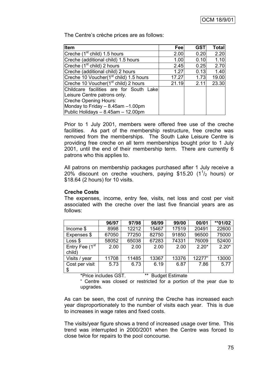The Centre's crèche prices are as follows:

| <b>Item</b>                                        | Feel  | <b>GST</b> | <b>Total</b> |
|----------------------------------------------------|-------|------------|--------------|
| Creche (1 <sup>st</sup> child) 1.5 hours           | 2.00  | 0.20       | 2.20         |
| Creche (additional child) 1.5 hours                | 1.00  | 0.10       | 1.10         |
| Creche (1 <sup>st</sup> child) 2 hours             | 2.45  | 0.25       | 2.70         |
| Creche (additional child) 2 hours                  | 1.27  | 0.13       | 1.40         |
| Creche 10 Voucher(1 <sup>st</sup> child) 1.5 hours | 17.27 | 1.73       | 19.00        |
| Creche 10 Voucher(1 <sup>st</sup> child) 2 hours   | 21.19 | 2.11       | 23.30        |
| Childcare facilities are for South Lake            |       |            |              |
| Leisure Centre patrons only.                       |       |            |              |
| Creche Opening Hours:                              |       |            |              |
| Monday to Friday $-8.45$ am $-1.00$ pm             |       |            |              |
| Public Holidays - 8.45am - 12.00pm                 |       |            |              |

Prior to 1 July 2001, members were offered free use of the creche facilities. As part of the membership restructure, free creche was removed from the memberships. The South Lake Leisure Centre is providing free creche on all term memberships bought prior to 1 July 2001, until the end of their membership term. There are currently 6 patrons who this applies to.

All patrons on membership packages purchased after 1 July receive a 20% discount on creche vouchers, paying \$15.20  $(1<sup>1</sup>/<sub>2</sub>$  hours) or \$18.64 (2 hours) for 10 visits.

### **Creche Costs**

The expenses, income, entry fee, visits, net loss and cost per visit associated with the creche over the last five financial years are as follows:

|                                      | 96/97 | 97/98 | 98/99 | 99/00 | 00/01   | **01/02 |
|--------------------------------------|-------|-------|-------|-------|---------|---------|
| Income \$                            | 8998  | 12212 | 15467 | 17519 | 20491   | 22600   |
| Expenses \$                          | 67050 | 77250 | 82750 | 91850 | 96500   | 75000   |
| Loss \$                              | 58052 | 65038 | 67283 | 74331 | 76009   | 52400   |
| Entry Fee (1 <sup>st</sup><br>child) | 2.00  | 2.00  | 2.00  | 2.00  | $2.20*$ | $2.20*$ |
| Visits / year                        | 11708 | 11485 | 13367 | 13376 | 12277"  | 13000   |
| Cost per visit<br>\$                 | 5.73  | 6.73  | 6.19  | 6.87  | 7.86    | 5.77    |

\*Price includes GST. \*\* Budget Estimate

" Centre was closed or restricted for a portion of the year due to upgrades.

As can be seen, the cost of running the Creche has increased each year disproportionately to the number of visits each year. This is due to increases in wage rates and fixed costs.

The visits/year figure shows a trend of increased usage over time. This trend was interrupted in 2000/2001 when the Centre was forced to close twice for repairs to the pool concourse.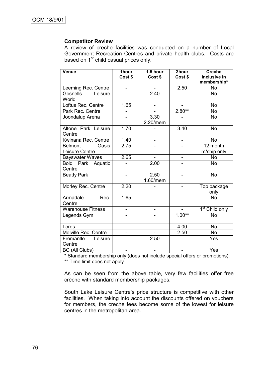### **Competitor Review**

A review of creche facilities was conducted on a number of Local Government Recreation Centres and private health clubs. Costs are based on 1<sup>st</sup> child casual prices only.

| <b>Venue</b>                              | 1hour<br>Cost \$         | $1.5$ hour<br>Cost \$    | 2hour<br>Cost \$             | <b>Creche</b><br>inclusive in<br>membership* |  |
|-------------------------------------------|--------------------------|--------------------------|------------------------------|----------------------------------------------|--|
| Leeming Rec. Centre                       | -                        |                          | 2.50                         | <b>No</b>                                    |  |
| <b>Gosnells</b><br>Leisure<br>World       |                          | 2.40                     |                              | <b>No</b>                                    |  |
| Loftus Rec. Centre                        | 1.65                     | $\overline{\phantom{0}}$ |                              | <b>No</b>                                    |  |
| Park Rec. Centre                          |                          |                          | $2.80**$                     | <b>No</b>                                    |  |
| Joondalup Arena                           |                          | 3.30<br>2.20/mem         |                              | <b>No</b>                                    |  |
| Altone Park Leisure<br>Centre             | 1.70                     |                          | 3.40                         | <b>No</b>                                    |  |
| Kwinana Rec. Centre                       | 1.40                     |                          | $\qquad \qquad \blacksquare$ | <b>No</b>                                    |  |
| Oasis<br><b>Belmont</b><br>Leisure Centre | 2.75                     |                          |                              | 12 month<br>m/ship only                      |  |
| <b>Bayswater Waves</b>                    | 2.65                     | -                        | $\qquad \qquad \blacksquare$ | <b>No</b>                                    |  |
| Bold Park Aquatic<br>Centre               |                          | 2.00                     |                              | <b>No</b>                                    |  |
| <b>Beatty Park</b>                        | $\blacksquare$           | 2.50<br>1.60/mem         |                              | <b>No</b>                                    |  |
| Morley Rec. Centre                        | 2.20                     |                          |                              | Top package<br>only                          |  |
| Armadale<br>Rec.<br>Centre                | 1.65                     |                          |                              | <b>No</b>                                    |  |
| <b>Warehouse Fitness</b>                  | -                        |                          |                              | 1 <sup>st</sup> Child only                   |  |
| Legends Gym                               |                          |                          | $1.00**$                     | <b>No</b>                                    |  |
| Lords                                     | $\overline{\phantom{0}}$ | $\overline{\phantom{0}}$ | 4.00                         | <b>No</b>                                    |  |
| Melville Rec. Centre                      |                          |                          | 2.50                         | <b>No</b>                                    |  |
| Fremantle<br>Leisure<br>Centre            |                          | 2.50                     |                              | Yes                                          |  |
| <b>BC</b> (All Clubs)                     |                          |                          |                              | Yes                                          |  |

\* Standard membership only (does not include special offers or promotions).

\*\* Time limit does not apply.

As can be seen from the above table, very few facilities offer free crèche with standard membership packages.

South Lake Leisure Centre's price structure is competitive with other facilities. When taking into account the discounts offered on vouchers for members, the creche fees become some of the lowest for leisure centres in the metropolitan area.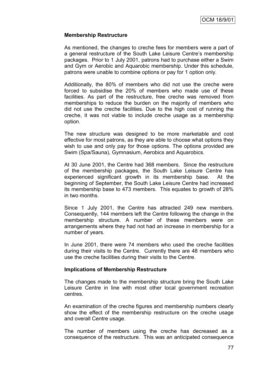# **Membership Restructure**

As mentioned, the changes to creche fees for members were a part of a general restructure of the South Lake Leisure Centre"s membership packages. Prior to 1 July 2001, patrons had to purchase either a Swim and Gym or Aerobic and Aquarobic membership. Under this schedule, patrons were unable to combine options or pay for 1 option only.

Additionally, the 80% of members who did not use the creche were forced to subsidise the 20% of members who made use of these facilities. As part of the restructure, free creche was removed from memberships to reduce the burden on the majority of members who did not use the creche facilities. Due to the high cost of running the creche, it was not viable to include creche usage as a membership option.

The new structure was designed to be more marketable and cost effective for most patrons, as they are able to choose what options they wish to use and only pay for those options. The options provided are Swim (Spa/Sauna), Gymnasium, Aerobics and Aquarobics.

At 30 June 2001, the Centre had 368 members. Since the restructure of the membership packages, the South Lake Leisure Centre has experienced significant growth in its membership base. At the beginning of September, the South Lake Leisure Centre had increased its membership base to 473 members. This equates to growth of 28% in two months.

Since 1 July 2001, the Centre has attracted 249 new members. Consequently, 144 members left the Centre following the change in the membership structure. A number of these members were on arrangements where they had not had an increase in membership for a number of years.

In June 2001, there were 74 members who used the creche facilities during their visits to the Centre. Currently there are 48 members who use the creche facilities during their visits to the Centre.

### **Implications of Membership Restructure**

The changes made to the membership structure bring the South Lake Leisure Centre in line with most other local government recreation centres.

An examination of the creche figures and membership numbers clearly show the effect of the membership restructure on the creche usage and overall Centre usage.

The number of members using the creche has decreased as a consequence of the restructure. This was an anticipated consequence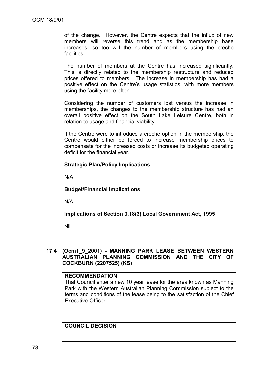of the change. However, the Centre expects that the influx of new members will reverse this trend and as the membership base increases, so too will the number of members using the creche facilities.

The number of members at the Centre has increased significantly. This is directly related to the membership restructure and reduced prices offered to members. The increase in membership has had a positive effect on the Centre's usage statistics, with more members using the facility more often.

Considering the number of customers lost versus the increase in memberships, the changes to the membership structure has had an overall positive effect on the South Lake Leisure Centre, both in relation to usage and financial viability.

If the Centre were to introduce a creche option in the membership, the Centre would either be forced to increase membership prices to compensate for the increased costs or increase its budgeted operating deficit for the financial year.

### **Strategic Plan/Policy Implications**

N/A

**Budget/Financial Implications**

N/A

**Implications of Section 3.18(3) Local Government Act, 1995**

Nil

### **17.4 (Ocm1\_9\_2001) - MANNING PARK LEASE BETWEEN WESTERN AUSTRALIAN PLANNING COMMISSION AND THE CITY OF COCKBURN (2207525) (KS)**

# **RECOMMENDATION**

That Council enter a new 10 year lease for the area known as Manning Park with the Western Australian Planning Commission subject to the terms and conditions of the lease being to the satisfaction of the Chief Executive Officer.

**COUNCIL DECISION**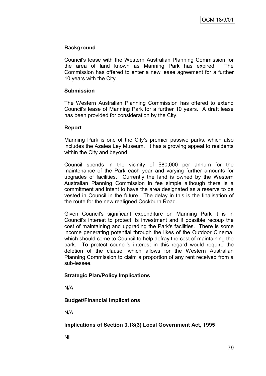# **Background**

Council's lease with the Western Australian Planning Commission for the area of land known as Manning Park has expired. The Commission has offered to enter a new lease agreement for a further 10 years with the City.

# **Submission**

The Western Australian Planning Commission has offered to extend Council's lease of Manning Park for a further 10 years. A draft lease has been provided for consideration by the City.

# **Report**

Manning Park is one of the City's premier passive parks, which also includes the Azalea Ley Museum. It has a growing appeal to residents within the City and beyond.

Council spends in the vicinity of \$80,000 per annum for the maintenance of the Park each year and varying further amounts for upgrades of facilities. Currently the land is owned by the Western Australian Planning Commission in fee simple although there is a commitment and intent to have the area designated as a reserve to be vested in Council in the future. The delay in this is the finalisation of the route for the new realigned Cockburn Road.

Given Council's significant expenditure on Manning Park it is in Council's interest to protect its investment and if possible recoup the cost of maintaining and upgrading the Park's facilities. There is some income generating potential through the likes of the Outdoor Cinema, which should come to Council to help defray the cost of maintaining the park. To protect council's interest in this regard would require the deletion of the clause, which allows for the Western Australian Planning Commission to claim a proportion of any rent received from a sub-lessee.

# **Strategic Plan/Policy Implications**

N/A

# **Budget/Financial Implications**

N/A

# **Implications of Section 3.18(3) Local Government Act, 1995**

Nil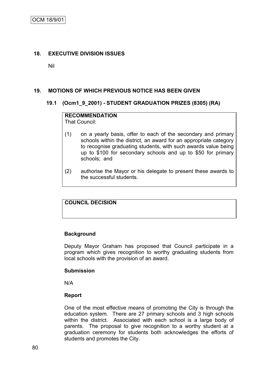# **18. EXECUTIVE DIVISION ISSUES**

Nil

# **19. MOTIONS OF WHICH PREVIOUS NOTICE HAS BEEN GIVEN**

### **19.1 (Ocm1\_9\_2001) - STUDENT GRADUATION PRIZES (8305) (RA)**

# **RECOMMENDATION**

That Council:

- (1) on a yearly basis, offer to each of the secondary and primary schools within the district, an award for an appropriate category to recognise graduating students, with such awards value being up to \$100 for secondary schools and up to \$50 for primary schools; and
- (2) authorise the Mayor or his delegate to present these awards to the successful students.

# **COUNCIL DECISION**

# **Background**

Deputy Mayor Graham has proposed that Council participate in a program which gives recognition to worthy graduating students from local schools with the provision of an award.

### **Submission**

N/A

### **Report**

One of the most effective means of promoting the City is through the education system. There are 27 primary schools and 3 high schools within the district. Associated with each school is a large body of parents. The proposal to give recognition to a worthy student at a graduation ceremony for students both acknowledges the efforts of students and promotes the City.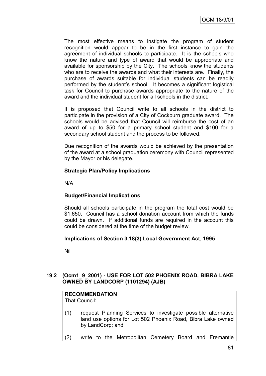The most effective means to instigate the program of student recognition would appear to be in the first instance to gain the agreement of individual schools to participate. It is the schools who know the nature and type of award that would be appropriate and available for sponsorship by the City. The schools know the students who are to receive the awards and what their interests are. Finally, the purchase of awards suitable for individual students can be readily performed by the student"s school. It becomes a significant logistical task for Council to purchase awards appropriate to the nature of the award and the individual student for all schools in the district.

It is proposed that Council write to all schools in the district to participate in the provision of a City of Cockburn graduate award. The schools would be advised that Council will reimburse the cost of an award of up to \$50 for a primary school student and \$100 for a secondary school student and the process to be followed.

Due recognition of the awards would be achieved by the presentation of the award at a school graduation ceremony with Council represented by the Mayor or his delegate.

# **Strategic Plan/Policy Implications**

N/A

# **Budget/Financial Implications**

Should all schools participate in the program the total cost would be \$1,650. Council has a school donation account from which the funds could be drawn. If additional funds are required in the account this could be considered at the time of the budget review.

# **Implications of Section 3.18(3) Local Government Act, 1995**

Nil

# **19.2 (Ocm1\_9\_2001) - USE FOR LOT 502 PHOENIX ROAD, BIBRA LAKE OWNED BY LANDCORP (1101294) (AJB)**

# **RECOMMENDATION**

That Council:

- (1) request Planning Services to investigate possible alternative land use options for Lot 502 Phoenix Road, Bibra Lake owned by LandCorp; and
- (2) write to the Metropolitan Cemetery Board and Fremantle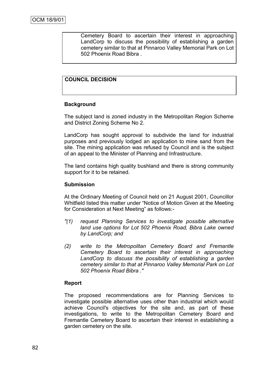Cemetery Board to ascertain their interest in approaching LandCorp to discuss the possibility of establishing a garden cemetery similar to that at Pinnaroo Valley Memorial Park on Lot 502 Phoenix Road Bibra .

# **COUNCIL DECISION**

### **Background**

The subject land is zoned industry in the Metropolitan Region Scheme and District Zoning Scheme No 2.

LandCorp has sought approval to subdivide the land for industrial purposes and previously lodged an application to mine sand from the site. The mining application was refused by Council and is the subject of an appeal to the Minister of Planning and Infrastructure.

The land contains high quality bushland and there is strong community support for it to be retained.

### **Submission**

At the Ordinary Meeting of Council held on 21 August 2001, Councillor Whitfield listed this matter under "Notice of Motion Given at the Meeting for Consideration at Next Meeting" as follows:-

- *"(1) request Planning Services to investigate possible alternative land use options for Lot 502 Phoenix Road, Bibra Lake owned by LandCorp; and*
- *(2) write to the Metropolitan Cemetery Board and Fremantle Cemetery Board to ascertain their interest in approaching LandCorp to discuss the possibility of establishing a garden cemetery similar to that at Pinnaroo Valley Memorial Park on Lot 502 Phoenix Road Bibra ."*

# **Report**

The proposed recommendations are for Planning Services to investigate possible alternative uses other than industrial which would achieve Council's objectives for the site and, as part of these investigations, to write to the Metropolitan Cemetery Board and Fremantle Cemetery Board to ascertain their interest in establishing a garden cemetery on the site.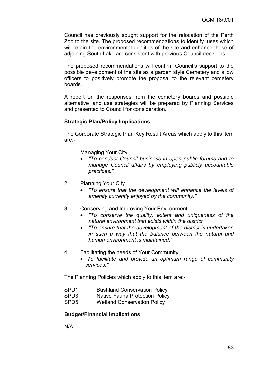Council has previously sought support for the relocation of the Perth Zoo to the site. The proposed recommendations to identify uses which will retain the environmental qualities of the site and enhance those of adjoining South Lake are consistent with previous Council decisions.

The proposed recommendations will confirm Council"s support to the possible development of the site as a garden style Cemetery and allow officers to positively promote the proposal to the relevant cemetery boards.

A report on the responses from the cemetery boards and possible alternative land use strategies will be prepared by Planning Services and presented to Council for consideration.

# **Strategic Plan/Policy Implications**

The Corporate Strategic Plan Key Result Areas which apply to this item are:-

- 1. Managing Your City
	- *"To conduct Council business in open public forums and to manage Council affairs by employing publicly accountable practices."*
- 2. Planning Your City
	- *"To ensure that the development will enhance the levels of amenity currently enjoyed by the community."*
- 3. Conserving and Improving Your Environment
	- *"To conserve the quality, extent and uniqueness of the natural environment that exists within the district."*
	- *"To ensure that the development of the district is undertaken in such a way that the balance between the natural and human environment is maintained."*
- 4. Facilitating the needs of Your Community
	- *"To facilitate and provide an optimum range of community services."*

The Planning Policies which apply to this item are:-

- SPD1 Bushland Conservation Policy
- SPD3 Native Fauna Protection Policy
- SPD5 Wetland Conservation Policy

### **Budget/Financial Implications**

N/A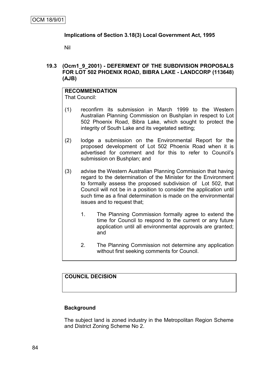# **Implications of Section 3.18(3) Local Government Act, 1995**

Nil

# **19.3 (Ocm1\_9\_2001) - DEFERMENT OF THE SUBDIVISION PROPOSALS FOR LOT 502 PHOENIX ROAD, BIBRA LAKE - LANDCORP (113648) (AJB)**

#### **RECOMMENDATION** That Council:

- (1) reconfirm its submission in March 1999 to the Western Australian Planning Commission on Bushplan in respect to Lot 502 Phoenix Road, Bibra Lake, which sought to protect the integrity of South Lake and its vegetated setting;
- (2) lodge a submission on the Environmental Report for the proposed development of Lot 502 Phoenix Road when it is advertised for comment and for this to refer to Council"s submission on Bushplan; and
- (3) advise the Western Australian Planning Commission that having regard to the determination of the Minister for the Environment to formally assess the proposed subdivision of Lot 502, that Council will not be in a position to consider the application until such time as a final determination is made on the environmental issues and to request that;
	- 1. The Planning Commission formally agree to extend the time for Council to respond to the current or any future application until all environmental approvals are granted; and
	- 2. The Planning Commission not determine any application without first seeking comments for Council.

# **COUNCIL DECISION**

# **Background**

The subject land is zoned industry in the Metropolitan Region Scheme and District Zoning Scheme No 2.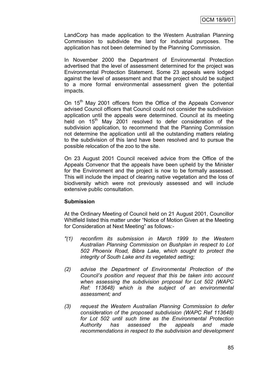LandCorp has made application to the Western Australian Planning Commission to subdivide the land for industrial purposes. The application has not been determined by the Planning Commission.

In November 2000 the Department of Environmental Protection advertised that the level of assessment determined for the project was Environmental Protection Statement. Some 23 appeals were lodged against the level of assessment and that the project should be subject to a more formal environmental assessment given the potential impacts.

On 15<sup>th</sup> May 2001 officers from the Office of the Appeals Convenor advised Council officers that Council could not consider the subdivision application until the appeals were determined. Council at its meeting held on  $15<sup>th</sup>$  May 2001 resolved to defer consideration of the subdivision application, to recommend that the Planning Commission not determine the application until all the outstanding matters relating to the subdivision of this land have been resolved and to pursue the possible relocation of the zoo to the site.

On 23 August 2001 Council received advice from the Office of the Appeals Convenor that the appeals have been upheld by the Minister for the Environment and the project is now to be formally assessed. This will include the impact of clearing native vegetation and the loss of biodiversity which were not previously assessed and will include extensive public consultation.

# **Submission**

At the Ordinary Meeting of Council held on 21 August 2001, Councillor Whitfield listed this matter under "Notice of Motion Given at the Meeting for Consideration at Next Meeting" as follows:-

- *"(1) reconfirm its submission in March 1999 to the Western Australian Planning Commission on Bushplan in respect to Lot 502 Phoenix Road, Bibra Lake, which sought to protect the integrity of South Lake and its vegetated setting;*
- *(2) advise the Department of Environmental Protection of the Council's position and request that this be taken into account when assessing the subdivision proposal for Lot 502 (WAPC Ref: 113648) which is the subject of an environmental assessment; and*
- *(3) request the Western Australian Planning Commission to defer consideration of the proposed subdivision (WAPC Ref 113648) for Lot 502 until such time as the Environmental Protection Authority has assessed the appeals and made recommendations in respect to the subdivision and development*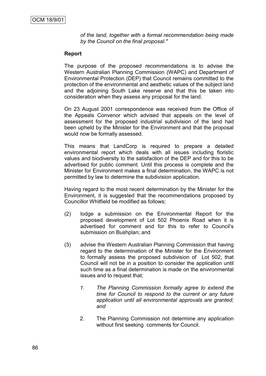*of the land, together with a formal recommendation being made by the Council on the final proposal."*

# **Report**

The purpose of the proposed recommendations is to advise the Western Australian Planning Commission (WAPC) and Department of Environmental Protection (DEP) that Council remains committed to the protection of the environmental and aesthetic values of the subject land and the adjoining South Lake reserve and that this be taken into consideration when they assess any proposal for the land.

On 23 August 2001 correspondence was received from the Office of the Appeals Convenor which advised that appeals on the level of assessment for the proposed industrial subdivision of the land had been upheld by the Minister for the Environment and that the proposal would now be formally assessed.

This means that LandCorp is required to prepare a detailed environmental report which deals with all issues including floristic values and biodiversity to the satisfaction of the DEP and for this to be advertised for public comment. Until this process is complete and the Minister for Environment makes a final determination, the WAPC is not permitted by law to determine the subdivision application.

Having regard to the most recent determination by the Minister for the Environment, it is suggested that the recommendations proposed by Councillor Whitfield be modified as follows;

- (2) lodge a submission on the Environmental Report for the proposed development of Lot 502 Phoenix Road when it is advertised for comment and for this to refer to Council"s submission on Bushplan; and
- (3) advise the Western Australian Planning Commission that having regard to the determination of the Minister for the Environment to formally assess the proposed subdivision of Lot 502, that Council will not be in a position to consider the application until such time as a final determination is made on the environmental issues and to request that;
	- *1. The Planning Commission formally agree to extend the time for Council to respond to the current or any future application until all environmental approvals are granted; and*
	- 2. The Planning Commission not determine any application without first seeking comments for Council.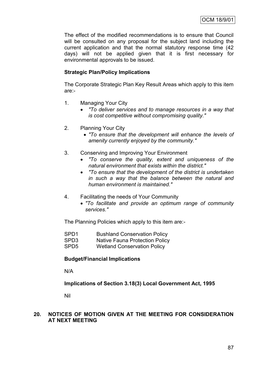The effect of the modified recommendations is to ensure that Council will be consulted on any proposal for the subject land including the current application and that the normal statutory response time (42 days) will not be applied given that it is first necessary for environmental approvals to be issued.

# **Strategic Plan/Policy Implications**

The Corporate Strategic Plan Key Result Areas which apply to this item are:-

- 1. Managing Your City
	- *"To deliver services and to manage resources in a way that is cost competitive without compromising quality."*
- 2. Planning Your City
	- *"To ensure that the development will enhance the levels of amenity currently enjoyed by the community."*
- 3. Conserving and Improving Your Environment
	- *"To conserve the quality, extent and uniqueness of the natural environment that exists within the district."*
	- *"To ensure that the development of the district is undertaken in such a way that the balance between the natural and human environment is maintained."*
- 4. Facilitating the needs of Your Community
	- *"To facilitate and provide an optimum range of community services."*

The Planning Policies which apply to this item are:-

- SPD1 Bushland Conservation Policy
- SPD3 Native Fauna Protection Policy
- SPD5 Wetland Conservation Policy

# **Budget/Financial Implications**

N/A

**Implications of Section 3.18(3) Local Government Act, 1995**

Nil

# **20. NOTICES OF MOTION GIVEN AT THE MEETING FOR CONSIDERATION AT NEXT MEETING**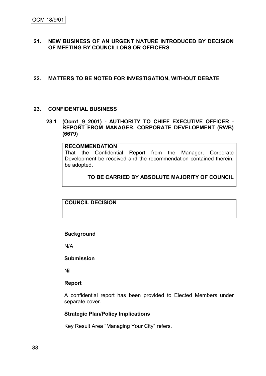# **21. NEW BUSINESS OF AN URGENT NATURE INTRODUCED BY DECISION OF MEETING BY COUNCILLORS OR OFFICERS**

## **22. MATTERS TO BE NOTED FOR INVESTIGATION, WITHOUT DEBATE**

### **23. CONFIDENTIAL BUSINESS**

# **23.1 (Ocm1\_9\_2001) - AUTHORITY TO CHIEF EXECUTIVE OFFICER - REPORT FROM MANAGER, CORPORATE DEVELOPMENT (RWB) (6679)**

#### **RECOMMENDATION**

That the Confidential Report from the Manager, Corporate Development be received and the recommendation contained therein, be adopted.

# **TO BE CARRIED BY ABSOLUTE MAJORITY OF COUNCIL**

# **COUNCIL DECISION**

### **Background**

N/A

#### **Submission**

Nil

### **Report**

A confidential report has been provided to Elected Members under separate cover.

### **Strategic Plan/Policy Implications**

Key Result Area "Managing Your City" refers.